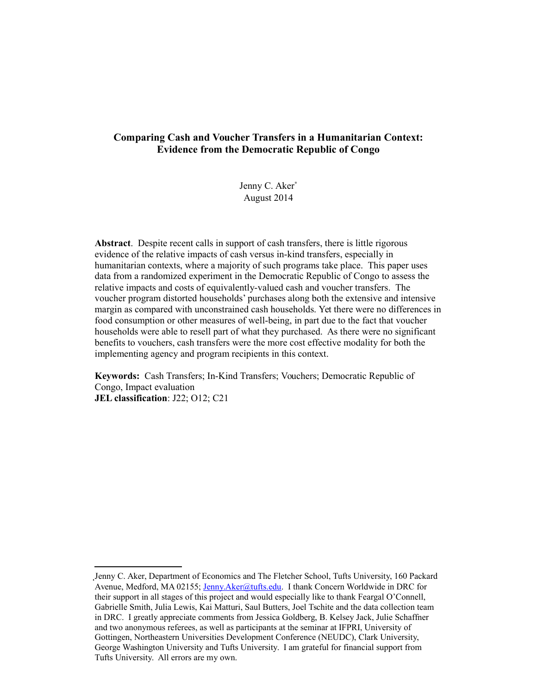## **Comparing Cash and Voucher Transfers in a Humanitarian Context: Evidence from the Democratic Republic of Congo**

Jenny C. Aker[\\*](#page-0-0) August 2014

**Abstract**. Despite recent calls in support of cash transfers, there is little rigorous evidence of the relative impacts of cash versus in-kind transfers, especially in humanitarian contexts, where a majority of such programs take place. This paper uses data from a randomized experiment in the Democratic Republic of Congo to assess the relative impacts and costs of equivalently-valued cash and voucher transfers. The voucher program distorted households' purchases along both the extensive and intensive margin as compared with unconstrained cash households. Yet there were no differences in food consumption or other measures of well-being, in part due to the fact that voucher households were able to resell part of what they purchased. As there were no significant benefits to vouchers, cash transfers were the more cost effective modality for both the implementing agency and program recipients in this context.

**Keywords:** Cash Transfers; In-Kind Transfers; Vouchers; Democratic Republic of Congo, Impact evaluation **JEL classification**: J22; O12; C21

<span id="page-0-0"></span>Jenny C. Aker, Department of Economics and The Fletcher School, Tufts University, 160 Packard Avenue, Medford, MA 02155; [Jenny.Aker@tufts.edu.](mailto:Jenny.Aker@tufts.edu) I thank Concern Worldwide in DRC for their support in all stages of this project and would especially like to thank Feargal O'Connell, Gabrielle Smith, Julia Lewis, Kai Matturi, Saul Butters, Joel Tschite and the data collection team in DRC. I greatly appreciate comments from Jessica Goldberg, B. Kelsey Jack, Julie Schaffner and two anonymous referees, as well as participants at the seminar at IFPRI, University of Gottingen, Northeastern Universities Development Conference (NEUDC), Clark University, George Washington University and Tufts University. I am grateful for financial support from Tufts University. All errors are my own.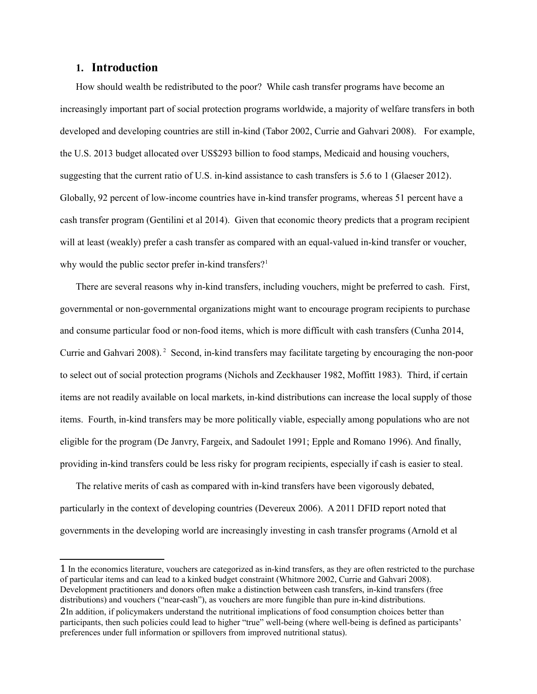## **1. Introduction**

How should wealth be redistributed to the poor? While cash transfer programs have become an increasingly important part of social protection programs worldwide, a majority of welfare transfers in both developed and developing countries are still in-kind (Tabor 2002, Currie and Gahvari 2008). For example, the U.S. 2013 budget allocated over US\$293 billion to food stamps, Medicaid and housing vouchers, suggesting that the current ratio of U.S. in-kind assistance to cash transfers is 5.6 to 1 (Glaeser 2012). Globally, 92 percent of low-income countries have in-kind transfer programs, whereas 51 percent have a cash transfer program (Gentilini et al 2014). Given that economic theory predicts that a program recipient will at least (weakly) prefer a cash transfer as compared with an equal-valued in-kind transfer or voucher, why would the public sector prefer in-kind transfers?<sup>[1](#page-1-0)</sup>

There are several reasons why in-kind transfers, including vouchers, might be preferred to cash. First, governmental or non-governmental organizations might want to encourage program recipients to purchase and consume particular food or non-food items, which is more difficult with cash transfers (Cunha 2014, Currie and Gahvari 2008). [2](#page-1-1) Second, in-kind transfers may facilitate targeting by encouraging the non-poor to select out of social protection programs (Nichols and Zeckhauser 1982, Moffitt 1983). Third, if certain items are not readily available on local markets, in-kind distributions can increase the local supply of those items. Fourth, in-kind transfers may be more politically viable, especially among populations who are not eligible for the program (De Janvry, Fargeix, and Sadoulet 1991; Epple and Romano 1996). And finally, providing in-kind transfers could be less risky for program recipients, especially if cash is easier to steal.

The relative merits of cash as compared with in-kind transfers have been vigorously debated, particularly in the context of developing countries (Devereux 2006). A 2011 DFID report noted that governments in the developing world are increasingly investing in cash transfer programs (Arnold et al

<span id="page-1-1"></span><span id="page-1-0"></span><sup>1</sup> In the economics literature, vouchers are categorized as in-kind transfers, as they are often restricted to the purchase of particular items and can lead to a kinked budget constraint (Whitmore 2002, Currie and Gahvari 2008). Development practitioners and donors often make a distinction between cash transfers, in-kind transfers (free distributions) and vouchers ("near-cash"), as vouchers are more fungible than pure in-kind distributions. 2In addition, if policymakers understand the nutritional implications of food consumption choices better than participants, then such policies could lead to higher "true" well-being (where well-being is defined as participants' preferences under full information or spillovers from improved nutritional status).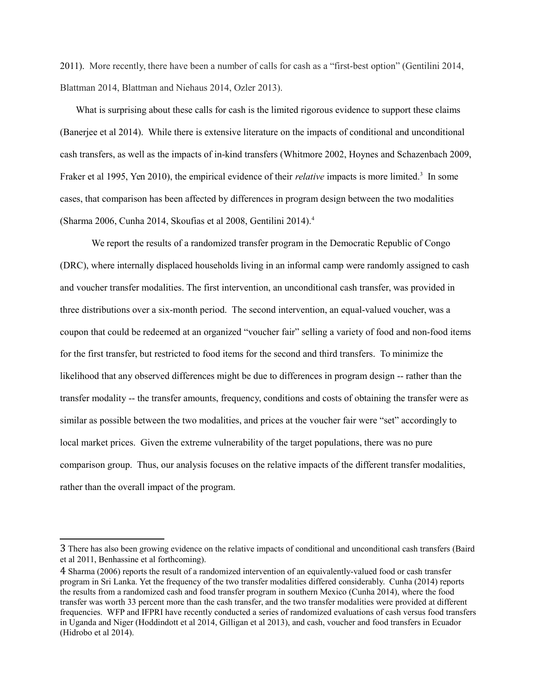2011). More recently, there have been a number of calls for cash as a "first-best option" (Gentilini 2014, Blattman 2014, Blattman and Niehaus 2014, Ozler 2013).

What is surprising about these calls for cash is the limited rigorous evidence to support these claims (Banerjee et al 2014). While there is extensive literature on the impacts of conditional and unconditional cash transfers, as well as the impacts of in-kind transfers (Whitmore 2002, Hoynes and Schazenbach 2009, Fraker et al 1995, Yen 2010), the empirical evidence of their *relative* impacts is more limited.<sup>3</sup> In some cases, that comparison has been affected by differences in program design between the two modalities (Sharma 2006, Cunha 2014, Skoufias et al 2008, Gentilini 2014)[.4](#page-2-1)

We report the results of a randomized transfer program in the Democratic Republic of Congo (DRC), where internally displaced households living in an informal camp were randomly assigned to cash and voucher transfer modalities. The first intervention, an unconditional cash transfer, was provided in three distributions over a six-month period. The second intervention, an equal-valued voucher, was a coupon that could be redeemed at an organized "voucher fair" selling a variety of food and non-food items for the first transfer, but restricted to food items for the second and third transfers. To minimize the likelihood that any observed differences might be due to differences in program design -- rather than the transfer modality -- the transfer amounts, frequency, conditions and costs of obtaining the transfer were as similar as possible between the two modalities, and prices at the voucher fair were "set" accordingly to local market prices. Given the extreme vulnerability of the target populations, there was no pure comparison group. Thus, our analysis focuses on the relative impacts of the different transfer modalities, rather than the overall impact of the program.

<span id="page-2-0"></span><sup>3</sup> There has also been growing evidence on the relative impacts of conditional and unconditional cash transfers (Baird et al 2011, Benhassine et al forthcoming).

<span id="page-2-1"></span><sup>4</sup> Sharma (2006) reports the result of a randomized intervention of an equivalently-valued food or cash transfer program in Sri Lanka. Yet the frequency of the two transfer modalities differed considerably. Cunha (2014) reports the results from a randomized cash and food transfer program in southern Mexico (Cunha 2014), where the food transfer was worth 33 percent more than the cash transfer, and the two transfer modalities were provided at different frequencies. WFP and IFPRI have recently conducted a series of randomized evaluations of cash versus food transfers in Uganda and Niger (Hoddindott et al 2014, Gilligan et al 2013), and cash, voucher and food transfers in Ecuador (Hidrobo et al 2014).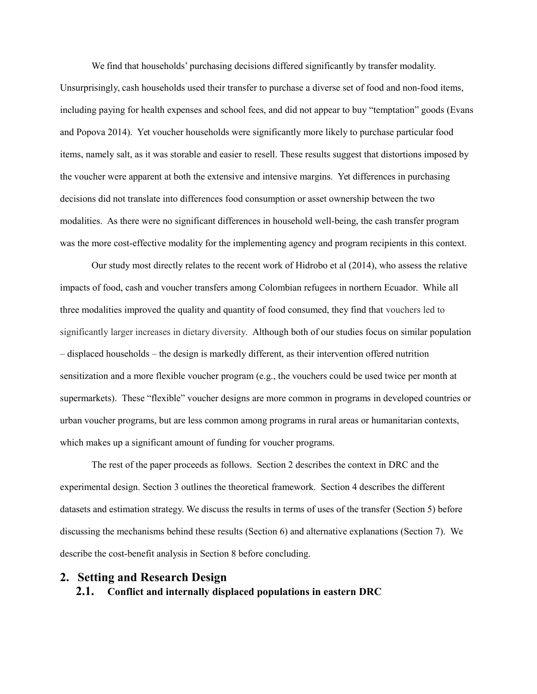We find that households' purchasing decisions differed significantly by transfer modality. Unsurprisingly, cash households used their transfer to purchase a diverse set of food and non-food items, including paying for health expenses and school fees, and did not appear to buy "temptation" goods (Evans and Popova 2014). Yet voucher households were significantly more likely to purchase particular food items, namely salt, as it was storable and easier to resell. These results suggest that distortions imposed by the voucher were apparent at both the extensive and intensive margins. Yet differences in purchasing decisions did not translate into differences food consumption or asset ownership between the two modalities. As there were no significant differences in household well-being, the cash transfer program was the more cost-effective modality for the implementing agency and program recipients in this context.

Our study most directly relates to the recent work of Hidrobo et al (2014), who assess the relative impacts of food, cash and voucher transfers among Colombian refugees in northern Ecuador. While all three modalities improved the quality and quantity of food consumed, they find that vouchers led to significantly larger increases in dietary diversity. Although both of our studies focus on similar population – displaced households – the design is markedly different, as their intervention offered nutrition sensitization and a more flexible voucher program (e.g., the vouchers could be used twice per month at supermarkets). These "flexible" voucher designs are more common in programs in developed countries or urban voucher programs, but are less common among programs in rural areas or humanitarian contexts, which makes up a significant amount of funding for voucher programs.

The rest of the paper proceeds as follows. Section 2 describes the context in DRC and the experimental design. Section 3 outlines the theoretical framework. Section 4 describes the different datasets and estimation strategy. We discuss the results in terms of uses of the transfer (Section 5) before discussing the mechanisms behind these results (Section 6) and alternative explanations (Section 7). We describe the cost-benefit analysis in Section 8 before concluding.

## **2. Setting and Research Design**

**2.1. Conflict and internally displaced populations in eastern DRC**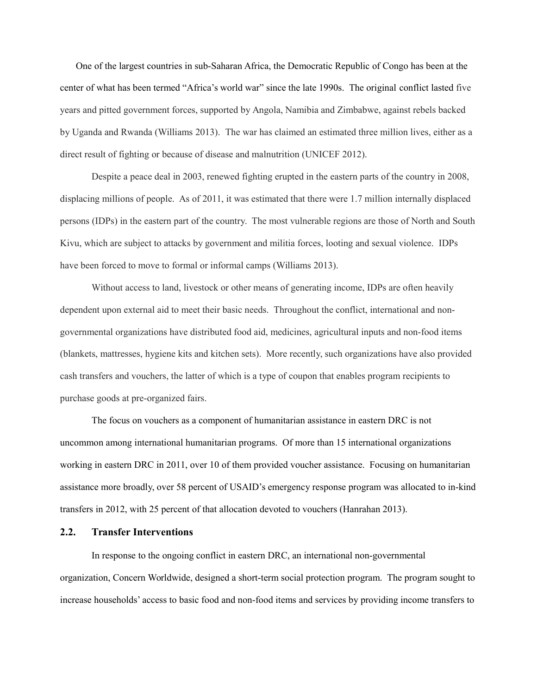One of the largest countries in sub-Saharan Africa, the Democratic Republic of Congo has been at the center of what has been termed "Africa's world war" since the late 1990s. The original conflict lasted five years and pitted government forces, supported by Angola, Namibia and Zimbabwe, against rebels backed by Uganda and Rwanda (Williams 2013).The war has claimed an estimated three million lives, either as a direct result of fighting or because of disease and malnutrition (UNICEF 2012).

Despite a peace deal in 2003, renewed fighting erupted in the eastern parts of the country in 2008, displacing millions of people. As of 2011, it was estimated that there were 1.7 million internally displaced persons (IDPs) in the eastern part of the country. The most vulnerable regions are those of North and South Kivu, which are subject to attacks by government and militia forces, looting and sexual violence. IDPs have been forced to move to formal or informal camps (Williams 2013).

Without access to land, livestock or other means of generating income, IDPs are often heavily dependent upon external aid to meet their basic needs. Throughout the conflict, international and nongovernmental organizations have distributed food aid, medicines, agricultural inputs and non-food items (blankets, mattresses, hygiene kits and kitchen sets). More recently, such organizations have also provided cash transfers and vouchers, the latter of which is a type of coupon that enables program recipients to purchase goods at pre-organized fairs.

The focus on vouchers as a component of humanitarian assistance in eastern DRC is not uncommon among international humanitarian programs. Of more than 15 international organizations working in eastern DRC in 2011, over 10 of them provided voucher assistance. Focusing on humanitarian assistance more broadly, over 58 percent of USAID's emergency response program was allocated to in-kind transfers in 2012, with 25 percent of that allocation devoted to vouchers (Hanrahan 2013).

## **2.2. Transfer Interventions**

In response to the ongoing conflict in eastern DRC, an international non-governmental organization, Concern Worldwide, designed a short-term social protection program. The program sought to increase households' access to basic food and non-food items and services by providing income transfers to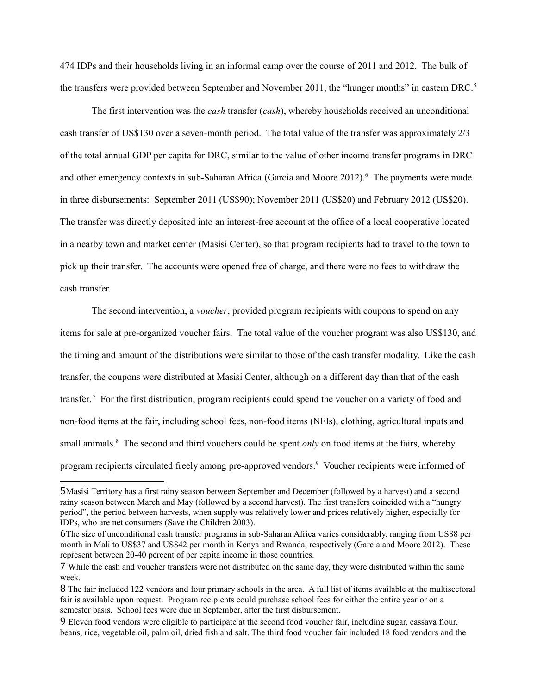474 IDPs and their households living in an informal camp over the course of 2011 and 2012. The bulk of the transfers were provided between September and November 2011, the "hunger months" in eastern DRC.<sup>[5](#page-5-0)</sup>

The first intervention was the *cash* transfer (*cash*), whereby households received an unconditional cash transfer of US\$130 over a seven-month period. The total value of the transfer was approximately 2/3 of the total annual GDP per capita for DRC, similar to the value of other income transfer programs in DRC and other emergency contexts in sub-Saharan Africa (Garcia and Moore 2012).<sup>6</sup> The payments were made in three disbursements: September 2011 (US\$90); November 2011 (US\$20) and February 2012 (US\$20). The transfer was directly deposited into an interest-free account at the office of a local cooperative located in a nearby town and market center (Masisi Center), so that program recipients had to travel to the town to pick up their transfer. The accounts were opened free of charge, and there were no fees to withdraw the cash transfer.

The second intervention, a *voucher*, provided program recipients with coupons to spend on any items for sale at pre-organized voucher fairs. The total value of the voucher program was also US\$130, and the timing and amount of the distributions were similar to those of the cash transfer modality. Like the cash transfer, the coupons were distributed at Masisi Center, although on a different day than that of the cash transfer.<sup>[7](#page-5-2)</sup> For the first distribution, program recipients could spend the voucher on a variety of food and non-food items at the fair, including school fees, non-food items (NFIs), clothing, agricultural inputs and small animals.<sup>8</sup> The second and third vouchers could be spent *only* on food items at the fairs, whereby program recipients circulated freely among pre-approved vendors.<sup>[9](#page-5-4)</sup> Voucher recipients were informed of

<span id="page-5-0"></span><sup>5</sup>Masisi Territory has a first rainy season between September and December (followed by a harvest) and a second rainy season between March and May (followed by a second harvest). The first transfers coincided with a "hungry period", the period between harvests, when supply was relatively lower and prices relatively higher, especially for IDPs, who are net consumers (Save the Children 2003).

<span id="page-5-1"></span><sup>6</sup>The size of unconditional cash transfer programs in sub-Saharan Africa varies considerably, ranging from US\$8 per month in Mali to US\$37 and US\$42 per month in Kenya and Rwanda, respectively (Garcia and Moore 2012). These represent between 20-40 percent of per capita income in those countries.

<span id="page-5-2"></span><sup>7</sup> While the cash and voucher transfers were not distributed on the same day, they were distributed within the same week.

<span id="page-5-3"></span><sup>8</sup> The fair included 122 vendors and four primary schools in the area. A full list of items available at the multisectoral fair is available upon request. Program recipients could purchase school fees for either the entire year or on a semester basis. School fees were due in September, after the first disbursement.

<span id="page-5-4"></span><sup>9</sup> Eleven food vendors were eligible to participate at the second food voucher fair, including sugar, cassava flour, beans, rice, vegetable oil, palm oil, dried fish and salt. The third food voucher fair included 18 food vendors and the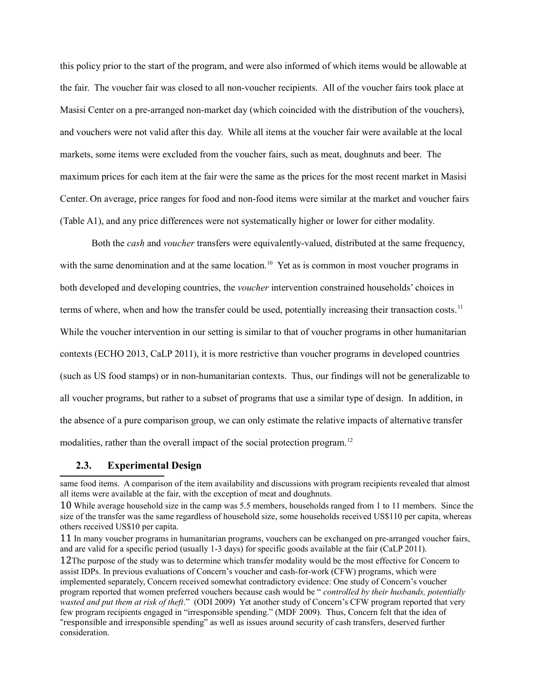this policy prior to the start of the program, and were also informed of which items would be allowable at the fair. The voucher fair was closed to all non-voucher recipients. All of the voucher fairs took place at Masisi Center on a pre-arranged non-market day (which coincided with the distribution of the vouchers), and vouchers were not valid after this day. While all items at the voucher fair were available at the local markets, some items were excluded from the voucher fairs, such as meat, doughnuts and beer. The maximum prices for each item at the fair were the same as the prices for the most recent market in Masisi Center. On average, price ranges for food and non-food items were similar at the market and voucher fairs (Table A1), and any price differences were not systematically higher or lower for either modality.

Both the *cash* and *voucher* transfers were equivalently-valued, distributed at the same frequency, with the same denomination and at the same location.<sup>10</sup> Yet as is common in most voucher programs in both developed and developing countries, the *voucher* intervention constrained households' choices in terms of where, when and how the transfer could be used, potentially increasing their transaction costs.<sup>11</sup> While the voucher intervention in our setting is similar to that of voucher programs in other humanitarian contexts (ECHO 2013, CaLP 2011), it is more restrictive than voucher programs in developed countries (such as US food stamps) or in non-humanitarian contexts. Thus, our findings will not be generalizable to all voucher programs, but rather to a subset of programs that use a similar type of design. In addition, in the absence of a pure comparison group, we can only estimate the relative impacts of alternative transfer modalities, rather than the overall impact of the social protection program.<sup>12</sup>

## **2.3. Experimental Design**

same food items. A comparison of the item availability and discussions with program recipients revealed that almost all items were available at the fair, with the exception of meat and doughnuts.

<span id="page-6-0"></span><sup>10</sup> While average household size in the camp was 5.5 members, households ranged from 1 to 11 members. Since the size of the transfer was the same regardless of household size, some households received US\$110 per capita, whereas others received US\$10 per capita.

<span id="page-6-2"></span><span id="page-6-1"></span><sup>11</sup> In many voucher programs in humanitarian programs, vouchers can be exchanged on pre-arranged voucher fairs, and are valid for a specific period (usually 1-3 days) for specific goods available at the fair (CaLP 2011). 12The purpose of the study was to determine which transfer modality would be the most effective for Concern to assist IDPs. In previous evaluations of Concern's voucher and cash-for-work (CFW) programs, which were implemented separately, Concern received somewhat contradictory evidence: One study of Concern's voucher program reported that women preferred vouchers because cash would be " *controlled by their husbands, potentially wasted and put them at risk of theft*." (ODI 2009) Yet another study of Concern's CFW program reported that very few program recipients engaged in "irresponsible spending." (MDF 2009). Thus, Concern felt that the idea of "responsible and irresponsible spending" as well as issues around security of cash transfers, deserved further consideration.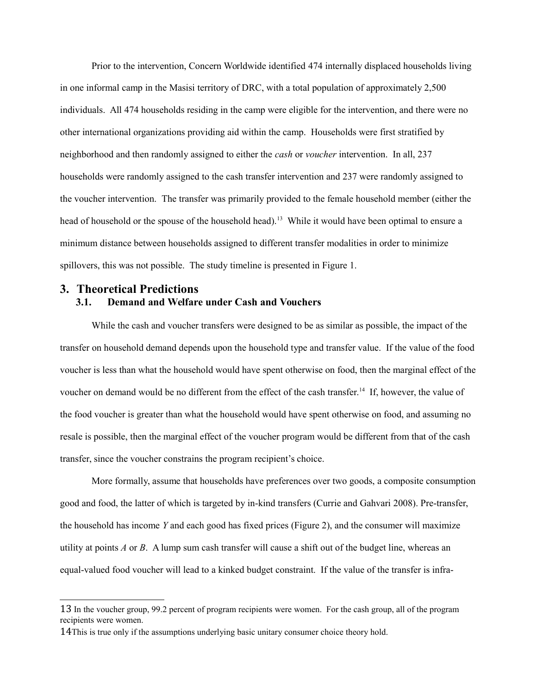Prior to the intervention, Concern Worldwide identified 474 internally displaced households living in one informal camp in the Masisi territory of DRC, with a total population of approximately 2,500 individuals. All 474 households residing in the camp were eligible for the intervention, and there were no other international organizations providing aid within the camp. Households were first stratified by neighborhood and then randomly assigned to either the *cash* or *voucher* intervention. In all, 237 households were randomly assigned to the cash transfer intervention and 237 were randomly assigned to the voucher intervention. The transfer was primarily provided to the female household member (either the head of household or the spouse of the household head).<sup>13</sup> While it would have been optimal to ensure a minimum distance between households assigned to different transfer modalities in order to minimize spillovers, this was not possible. The study timeline is presented in Figure 1.

# **3. Theoretical Predictions 3.1. Demand and Welfare under Cash and Vouchers**

While the cash and voucher transfers were designed to be as similar as possible, the impact of the transfer on household demand depends upon the household type and transfer value. If the value of the food voucher is less than what the household would have spent otherwise on food, then the marginal effect of the voucher on demand would be no different from the effect of the cash transfer.<sup>14</sup> If, however, the value of the food voucher is greater than what the household would have spent otherwise on food, and assuming no resale is possible, then the marginal effect of the voucher program would be different from that of the cash transfer, since the voucher constrains the program recipient's choice.

More formally, assume that households have preferences over two goods, a composite consumption good and food, the latter of which is targeted by in-kind transfers (Currie and Gahvari 2008). Pre-transfer, the household has income *Y* and each good has fixed prices (Figure 2), and the consumer will maximize utility at points *A* or *B*. A lump sum cash transfer will cause a shift out of the budget line, whereas an equal-valued food voucher will lead to a kinked budget constraint. If the value of the transfer is infra-

<span id="page-7-0"></span><sup>13</sup> In the voucher group, 99.2 percent of program recipients were women. For the cash group, all of the program recipients were women.

<span id="page-7-1"></span><sup>14</sup>This is true only if the assumptions underlying basic unitary consumer choice theory hold.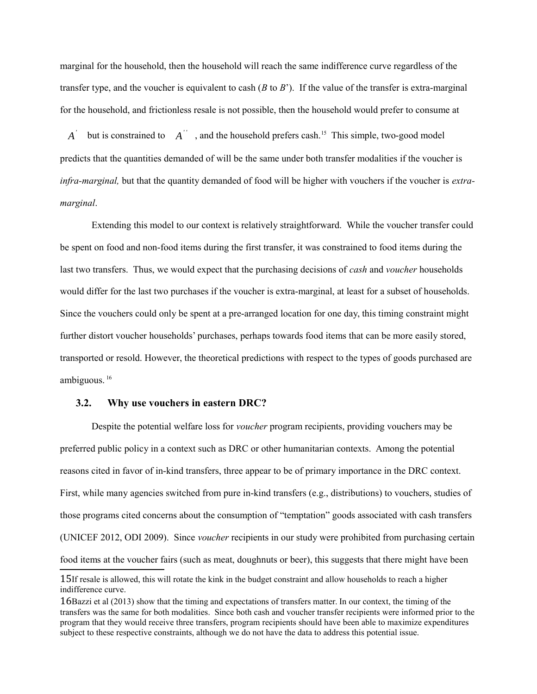marginal for the household, then the household will reach the same indifference curve regardless of the transfer type, and the voucher is equivalent to cash (*B* to *B*'). If the value of the transfer is extra-marginal for the household, and frictionless resale is not possible, then the household would prefer to consume at

*A'* but is constrained to *A''*, and the household prefers cash.<sup>15</sup> This simple, two-good model predicts that the quantities demanded of will be the same under both transfer modalities if the voucher is *infra-marginal,* but that the quantity demanded of food will be higher with vouchers if the voucher is *extramarginal*.

Extending this model to our context is relatively straightforward. While the voucher transfer could be spent on food and non-food items during the first transfer, it was constrained to food items during the last two transfers. Thus, we would expect that the purchasing decisions of *cash* and *voucher* households would differ for the last two purchases if the voucher is extra-marginal, at least for a subset of households. Since the vouchers could only be spent at a pre-arranged location for one day, this timing constraint might further distort voucher households' purchases, perhaps towards food items that can be more easily stored, transported or resold. However, the theoretical predictions with respect to the types of goods purchased are ambiguous. [16](#page-8-1)

### **3.2. Why use vouchers in eastern DRC?**

Despite the potential welfare loss for *voucher* program recipients, providing vouchers may be preferred public policy in a context such as DRC or other humanitarian contexts. Among the potential reasons cited in favor of in-kind transfers, three appear to be of primary importance in the DRC context. First, while many agencies switched from pure in-kind transfers (e.g., distributions) to vouchers, studies of those programs cited concerns about the consumption of "temptation" goods associated with cash transfers (UNICEF 2012, ODI 2009). Since *voucher* recipients in our study were prohibited from purchasing certain food items at the voucher fairs (such as meat, doughnuts or beer), this suggests that there might have been

<span id="page-8-0"></span><sup>15</sup>If resale is allowed, this will rotate the kink in the budget constraint and allow households to reach a higher indifference curve.

<span id="page-8-1"></span><sup>16</sup>Bazzi et al (2013) show that the timing and expectations of transfers matter. In our context, the timing of the transfers was the same for both modalities. Since both cash and voucher transfer recipients were informed prior to the program that they would receive three transfers, program recipients should have been able to maximize expenditures subject to these respective constraints, although we do not have the data to address this potential issue.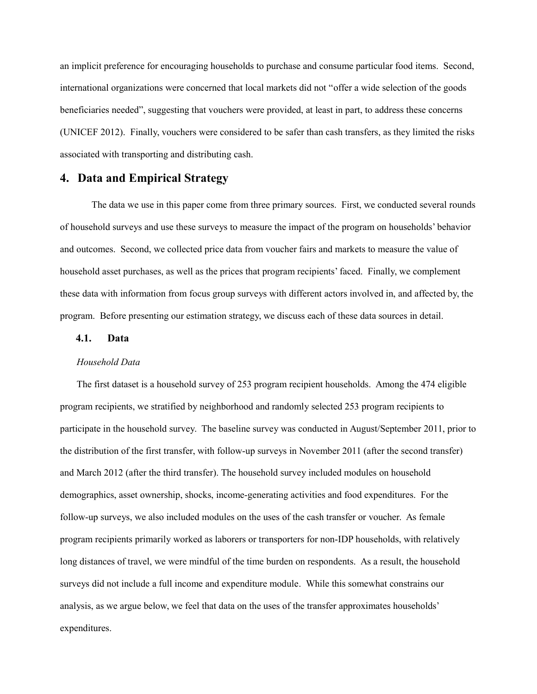an implicit preference for encouraging households to purchase and consume particular food items. Second, international organizations were concerned that local markets did not "offer a wide selection of the goods beneficiaries needed", suggesting that vouchers were provided, at least in part, to address these concerns (UNICEF 2012). Finally, vouchers were considered to be safer than cash transfers, as they limited the risks associated with transporting and distributing cash.

## **4. Data and Empirical Strategy**

The data we use in this paper come from three primary sources. First, we conducted several rounds of household surveys and use these surveys to measure the impact of the program on households' behavior and outcomes. Second, we collected price data from voucher fairs and markets to measure the value of household asset purchases, as well as the prices that program recipients' faced. Finally, we complement these data with information from focus group surveys with different actors involved in, and affected by, the program. Before presenting our estimation strategy, we discuss each of these data sources in detail.

### **4.1. Data**

#### *Household Data*

The first dataset is a household survey of 253 program recipient households. Among the 474 eligible program recipients, we stratified by neighborhood and randomly selected 253 program recipients to participate in the household survey. The baseline survey was conducted in August/September 2011, prior to the distribution of the first transfer, with follow-up surveys in November 2011 (after the second transfer) and March 2012 (after the third transfer). The household survey included modules on household demographics, asset ownership, shocks, income-generating activities and food expenditures. For the follow-up surveys, we also included modules on the uses of the cash transfer or voucher. As female program recipients primarily worked as laborers or transporters for non-IDP households, with relatively long distances of travel, we were mindful of the time burden on respondents. As a result, the household surveys did not include a full income and expenditure module. While this somewhat constrains our analysis, as we argue below, we feel that data on the uses of the transfer approximates households' expenditures.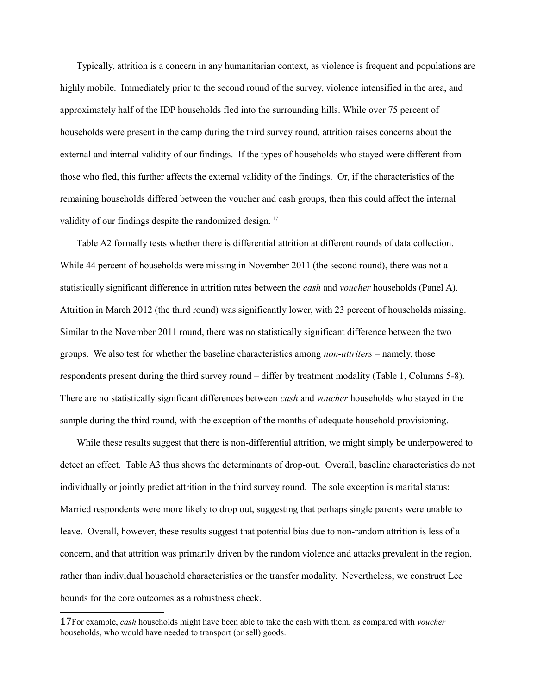Typically, attrition is a concern in any humanitarian context, as violence is frequent and populations are highly mobile. Immediately prior to the second round of the survey, violence intensified in the area, and approximately half of the IDP households fled into the surrounding hills. While over 75 percent of households were present in the camp during the third survey round, attrition raises concerns about the external and internal validity of our findings. If the types of households who stayed were different from those who fled, this further affects the external validity of the findings. Or, if the characteristics of the remaining households differed between the voucher and cash groups, then this could affect the internal validity of our findings despite the randomized design.<sup>17</sup>

Table A2 formally tests whether there is differential attrition at different rounds of data collection. While 44 percent of households were missing in November 2011 (the second round), there was not a statistically significant difference in attrition rates between the *cash* and *voucher* households (Panel A). Attrition in March 2012 (the third round) was significantly lower, with 23 percent of households missing. Similar to the November 2011 round, there was no statistically significant difference between the two groups. We also test for whether the baseline characteristics among *non-attriters* – namely, those respondents present during the third survey round – differ by treatment modality (Table 1, Columns 5-8). There are no statistically significant differences between *cash* and *voucher* households who stayed in the sample during the third round, with the exception of the months of adequate household provisioning.

While these results suggest that there is non-differential attrition, we might simply be underpowered to detect an effect. Table A3 thus shows the determinants of drop-out. Overall, baseline characteristics do not individually or jointly predict attrition in the third survey round. The sole exception is marital status: Married respondents were more likely to drop out, suggesting that perhaps single parents were unable to leave. Overall, however, these results suggest that potential bias due to non-random attrition is less of a concern, and that attrition was primarily driven by the random violence and attacks prevalent in the region, rather than individual household characteristics or the transfer modality. Nevertheless, we construct Lee bounds for the core outcomes as a robustness check.

<span id="page-10-0"></span><sup>17</sup>For example, *cash* households might have been able to take the cash with them, as compared with *voucher* households, who would have needed to transport (or sell) goods.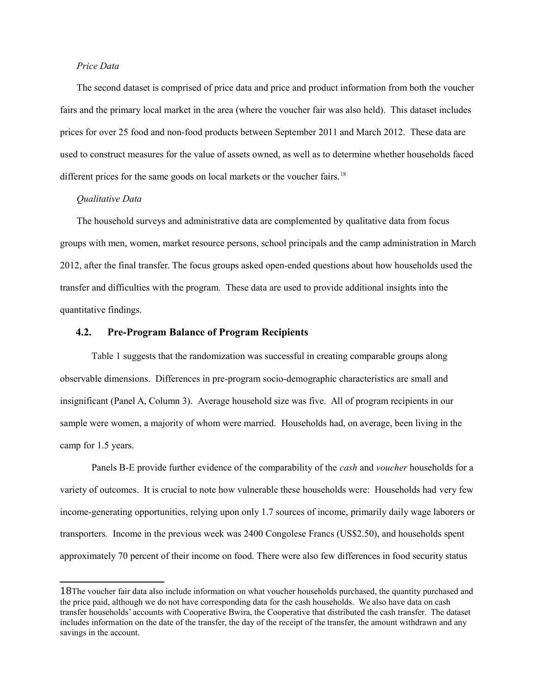#### *Price Data*

The second dataset is comprised of price data and price and product information from both the voucher fairs and the primary local market in the area (where the voucher fair was also held). This dataset includes prices for over 25 food and non-food products between September 2011 and March 2012. These data are used to construct measures for the value of assets owned, as well as to determine whether households faced different prices for the same goods on local markets or the voucher fairs.<sup>18</sup>

#### *Qualitative Data*

The household surveys and administrative data are complemented by qualitative data from focus groups with men, women, market resource persons, school principals and the camp administration in March 2012, after the final transfer. The focus groups asked open-ended questions about how households used the transfer and difficulties with the program. These data are used to provide additional insights into the quantitative findings.

### **4.2. Pre-Program Balance of Program Recipients**

Table 1 suggests that the randomization was successful in creating comparable groups along observable dimensions. Differences in pre-program socio-demographic characteristics are small and insignificant (Panel A, Column 3). Average household size was five. All of program recipients in our sample were women, a majority of whom were married. Households had, on average, been living in the camp for 1.5 years.

Panels B-E provide further evidence of the comparability of the *cash* and *voucher* households for a variety of outcomes. It is crucial to note how vulnerable these households were: Households had very few income-generating opportunities, relying upon only 1.7 sources of income, primarily daily wage laborers or transporters. Income in the previous week was 2400 Congolese Francs (US\$2.50), and households spent approximately 70 percent of their income on food. There were also few differences in food security status

<span id="page-11-0"></span><sup>18</sup>The voucher fair data also include information on what voucher households purchased, the quantity purchased and the price paid, although we do not have corresponding data for the cash households. We also have data on cash transfer households' accounts with Cooperative Bwira, the Cooperative that distributed the cash transfer. The dataset includes information on the date of the transfer, the day of the receipt of the transfer, the amount withdrawn and any savings in the account.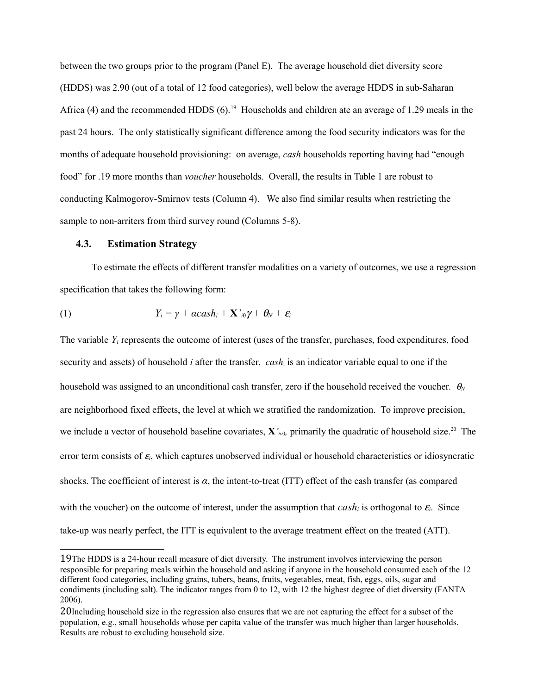between the two groups prior to the program (Panel E). The average household diet diversity score (HDDS) was 2.90 (out of a total of 12 food categories), well below the average HDDS in sub-Saharan Africa (4) and the recommended HDDS  $(6)$ .<sup>19</sup> Households and children ate an average of 1.29 meals in the past 24 hours. The only statistically significant difference among the food security indicators was for the months of adequate household provisioning: on average, *cash* households reporting having had "enough food" for .19 more months than *voucher* households. Overall, the results in Table 1 are robust to conducting Kalmogorov-Smirnov tests (Column 4). We also find similar results when restricting the sample to non-arriters from third survey round (Columns 5-8).

#### **4.3. Estimation Strategy**

To estimate the effects of different transfer modalities on a variety of outcomes, we use a regression specification that takes the following form:

(1) 
$$
Y_i = \gamma + \alpha \cosh_i + \mathbf{X'}_{i0} \gamma + \theta_N + \varepsilon_i
$$

The variable *Yi* represents the outcome of interest (uses of the transfer, purchases, food expenditures, food security and assets) of household *i* after the transfer. *cash*i is an indicator variable equal to one if the household was assigned to an unconditional cash transfer, zero if the household received the voucher.  $\theta_N$ are neighborhood fixed effects, the level at which we stratified the randomization. To improve precision, we include a vector of household baseline covariates, **X**<sup>*'<sub>iv0</sub>*</sup>, primarily the quadratic of household size.<sup>20</sup> The error term consists of <sup>e</sup>*i*, which captures unobserved individual or household characteristics or idiosyncratic shocks. The coefficient of interest is *α*, the intent-to-treat (ITT) effect of the cash transfer (as compared with the voucher) on the outcome of interest, under the assumption that  $cash<sub>i</sub>$  is orthogonal to  $\varepsilon<sub>i</sub>$ . Since take-up was nearly perfect, the ITT is equivalent to the average treatment effect on the treated (ATT).

<span id="page-12-0"></span><sup>19</sup>The HDDS is a 24-hour recall measure of diet diversity. The instrument involves interviewing the person responsible for preparing meals within the household and asking if anyone in the household consumed each of the 12 different food categories, including grains, tubers, beans, fruits, vegetables, meat, fish, eggs, oils, sugar and condiments (including salt). The indicator ranges from 0 to 12, with 12 the highest degree of diet diversity (FANTA 2006).

<span id="page-12-1"></span><sup>20</sup>Including household size in the regression also ensures that we are not capturing the effect for a subset of the population, e.g., small households whose per capita value of the transfer was much higher than larger households. Results are robust to excluding household size.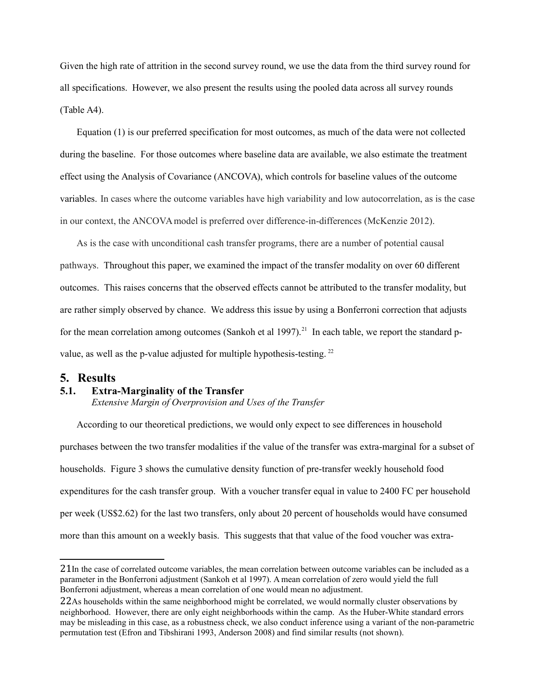Given the high rate of attrition in the second survey round, we use the data from the third survey round for all specifications. However, we also present the results using the pooled data across all survey rounds (Table A4).

Equation (1) is our preferred specification for most outcomes, as much of the data were not collected during the baseline. For those outcomes where baseline data are available, we also estimate the treatment effect using the Analysis of Covariance (ANCOVA), which controls for baseline values of the outcome variables. In cases where the outcome variables have high variability and low autocorrelation, as is the case in our context, the ANCOVA model is preferred over difference-in-differences (McKenzie 2012).

As is the case with unconditional cash transfer programs, there are a number of potential causal pathways. Throughout this paper, we examined the impact of the transfer modality on over 60 different outcomes. This raises concerns that the observed effects cannot be attributed to the transfer modality, but are rather simply observed by chance. We address this issue by using a Bonferroni correction that adjusts for the mean correlation among outcomes (Sankoh et al 1997).<sup>21</sup> In each table, we report the standard pvalue, as well as the p-value adjusted for multiple hypothesis-testing.<sup>22</sup>

## **5. Results**

#### **5.1. Extra-Marginality of the Transfer**

*Extensive Margin of Overprovision and Uses of the Transfer*

According to our theoretical predictions, we would only expect to see differences in household purchases between the two transfer modalities if the value of the transfer was extra-marginal for a subset of households. Figure 3 shows the cumulative density function of pre-transfer weekly household food expenditures for the cash transfer group. With a voucher transfer equal in value to 2400 FC per household per week (US\$2.62) for the last two transfers, only about 20 percent of households would have consumed more than this amount on a weekly basis. This suggests that that value of the food voucher was extra-

<span id="page-13-0"></span><sup>21</sup>In the case of correlated outcome variables, the mean correlation between outcome variables can be included as a parameter in the Bonferroni adjustment (Sankoh et al 1997). A mean correlation of zero would yield the full Bonferroni adjustment, whereas a mean correlation of one would mean no adjustment.

<span id="page-13-1"></span><sup>22</sup>As households within the same neighborhood might be correlated, we would normally cluster observations by neighborhood. However, there are only eight neighborhoods within the camp. As the Huber-White standard errors may be misleading in this case, as a robustness check, we also conduct inference using a variant of the non-parametric permutation test (Efron and Tibshirani 1993, Anderson 2008) and find similar results (not shown).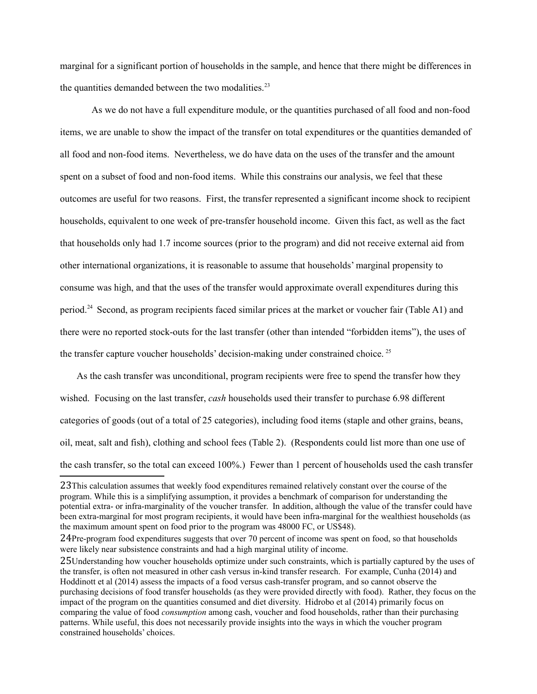marginal for a significant portion of households in the sample, and hence that there might be differences in the quantities demanded between the two modalities. $2<sup>3</sup>$ 

As we do not have a full expenditure module, or the quantities purchased of all food and non-food items, we are unable to show the impact of the transfer on total expenditures or the quantities demanded of all food and non-food items. Nevertheless, we do have data on the uses of the transfer and the amount spent on a subset of food and non-food items. While this constrains our analysis, we feel that these outcomes are useful for two reasons. First, the transfer represented a significant income shock to recipient households, equivalent to one week of pre-transfer household income. Given this fact, as well as the fact that households only had 1.7 income sources (prior to the program) and did not receive external aid from other international organizations, it is reasonable to assume that households' marginal propensity to consume was high, and that the uses of the transfer would approximate overall expenditures during this period[.24](#page-14-1) Second, as program recipients faced similar prices at the market or voucher fair (Table A1) and there were no reported stock-outs for the last transfer (other than intended "forbidden items"), the uses of the transfer capture voucher households' decision-making under constrained choice.<sup>[25](#page-14-2)</sup>

As the cash transfer was unconditional, program recipients were free to spend the transfer how they wished. Focusing on the last transfer, *cash* households used their transfer to purchase 6.98 different categories of goods (out of a total of 25 categories), including food items (staple and other grains, beans, oil, meat, salt and fish), clothing and school fees (Table 2). (Respondents could list more than one use of the cash transfer, so the total can exceed 100%.) Fewer than 1 percent of households used the cash transfer

<span id="page-14-0"></span><sup>23</sup>This calculation assumes that weekly food expenditures remained relatively constant over the course of the program. While this is a simplifying assumption, it provides a benchmark of comparison for understanding the potential extra- or infra-marginality of the voucher transfer. In addition, although the value of the transfer could have been extra-marginal for most program recipients, it would have been infra-marginal for the wealthiest households (as the maximum amount spent on food prior to the program was 48000 FC, or US\$48).

<span id="page-14-1"></span><sup>24</sup>Pre-program food expenditures suggests that over 70 percent of income was spent on food, so that households were likely near subsistence constraints and had a high marginal utility of income.

<span id="page-14-2"></span><sup>25</sup>Understanding how voucher households optimize under such constraints, which is partially captured by the uses of the transfer, is often not measured in other cash versus in-kind transfer research. For example, Cunha (2014) and Hoddinott et al (2014) assess the impacts of a food versus cash-transfer program, and so cannot observe the purchasing decisions of food transfer households (as they were provided directly with food). Rather, they focus on the impact of the program on the quantities consumed and diet diversity. Hidrobo et al (2014) primarily focus on comparing the value of food *consumption* among cash, voucher and food households, rather than their purchasing patterns. While useful, this does not necessarily provide insights into the ways in which the voucher program constrained households' choices.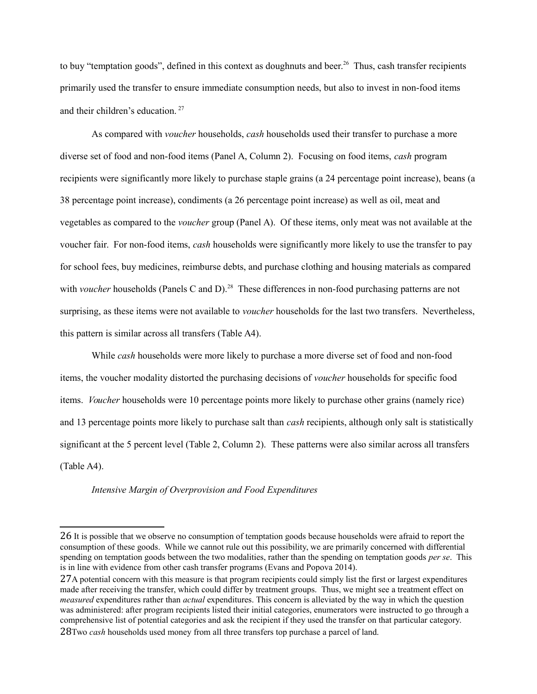to buy "temptation goods", defined in this context as doughnuts and beer.<sup>26</sup> Thus, cash transfer recipients primarily used the transfer to ensure immediate consumption needs, but also to invest in non-food items and their children's education. [27](#page-15-1)

As compared with *voucher* households, *cash* households used their transfer to purchase a more diverse set of food and non-food items (Panel A, Column 2). Focusing on food items, *cash* program recipients were significantly more likely to purchase staple grains (a 24 percentage point increase), beans (a 38 percentage point increase), condiments (a 26 percentage point increase) as well as oil, meat and vegetables as compared to the *voucher* group (Panel A). Of these items, only meat was not available at the voucher fair. For non-food items, *cash* households were significantly more likely to use the transfer to pay for school fees, buy medicines, reimburse debts, and purchase clothing and housing materials as compared with *voucher* households (Panels C and D).<sup>28</sup> These differences in non-food purchasing patterns are not surprising, as these items were not available to *voucher* households for the last two transfers. Nevertheless, this pattern is similar across all transfers (Table A4).

While *cash* households were more likely to purchase a more diverse set of food and non-food items, the voucher modality distorted the purchasing decisions of *voucher* households for specific food items. *Voucher* households were 10 percentage points more likely to purchase other grains (namely rice) and 13 percentage points more likely to purchase salt than *cash* recipients, although only salt is statistically significant at the 5 percent level (Table 2, Column 2). These patterns were also similar across all transfers (Table A4).

#### *Intensive Margin of Overprovision and Food Expenditures*

<span id="page-15-0"></span><sup>26</sup> It is possible that we observe no consumption of temptation goods because households were afraid to report the consumption of these goods. While we cannot rule out this possibility, we are primarily concerned with differential spending on temptation goods between the two modalities, rather than the spending on temptation goods *per se*. This is in line with evidence from other cash transfer programs (Evans and Popova 2014).

<span id="page-15-2"></span><span id="page-15-1"></span><sup>27</sup>A potential concern with this measure is that program recipients could simply list the first or largest expenditures made after receiving the transfer, which could differ by treatment groups. Thus, we might see a treatment effect on *measured* expenditures rather than *actual* expenditures. This concern is alleviated by the way in which the question was administered: after program recipients listed their initial categories, enumerators were instructed to go through a comprehensive list of potential categories and ask the recipient if they used the transfer on that particular category. 28Two *cash* households used money from all three transfers top purchase a parcel of land.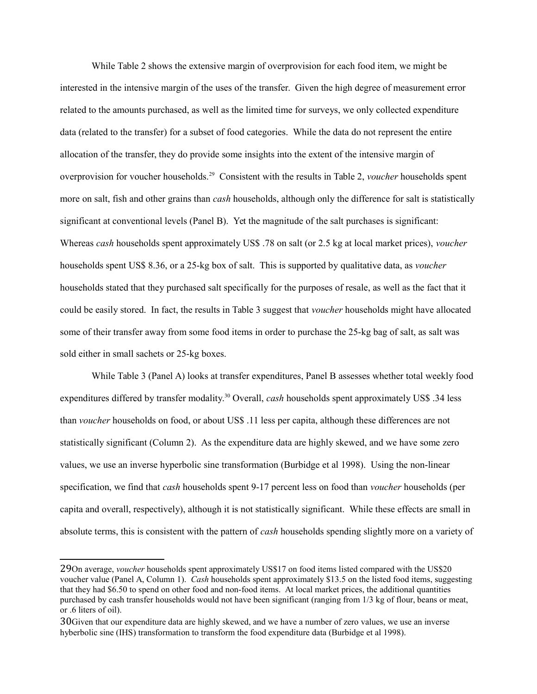While Table 2 shows the extensive margin of overprovision for each food item, we might be interested in the intensive margin of the uses of the transfer. Given the high degree of measurement error related to the amounts purchased, as well as the limited time for surveys, we only collected expenditure data (related to the transfer) for a subset of food categories. While the data do not represent the entire allocation of the transfer, they do provide some insights into the extent of the intensive margin of overprovision for voucher households[.29](#page-16-0) Consistent with the results in Table 2, *voucher* households spent more on salt, fish and other grains than *cash* households, although only the difference for salt is statistically significant at conventional levels (Panel B). Yet the magnitude of the salt purchases is significant: Whereas *cash* households spent approximately US\$ .78 on salt (or 2.5 kg at local market prices), *voucher* households spent US\$ 8.36, or a 25-kg box of salt. This is supported by qualitative data, as *voucher* households stated that they purchased salt specifically for the purposes of resale, as well as the fact that it could be easily stored. In fact, the results in Table 3 suggest that *voucher* households might have allocated some of their transfer away from some food items in order to purchase the 25-kg bag of salt, as salt was sold either in small sachets or 25-kg boxes.

While Table 3 (Panel A) looks at transfer expenditures, Panel B assesses whether total weekly food expenditures differed by transfer modality.<sup>30</sup> Overall, *cash* households spent approximately US\$ .34 less than *voucher* households on food, or about US\$ .11 less per capita, although these differences are not statistically significant (Column 2). As the expenditure data are highly skewed, and we have some zero values, we use an inverse hyperbolic sine transformation (Burbidge et al 1998). Using the non-linear specification, we find that *cash* households spent 9-17 percent less on food than *voucher* households (per capita and overall, respectively), although it is not statistically significant. While these effects are small in absolute terms, this is consistent with the pattern of *cash* households spending slightly more on a variety of

<span id="page-16-0"></span><sup>29</sup>On average, *voucher* households spent approximately US\$17 on food items listed compared with the US\$20 voucher value (Panel A, Column 1). *Cash* households spent approximately \$13.5 on the listed food items, suggesting that they had \$6.50 to spend on other food and non-food items. At local market prices, the additional quantities purchased by cash transfer households would not have been significant (ranging from 1/3 kg of flour, beans or meat, or .6 liters of oil).

<span id="page-16-1"></span><sup>30</sup>Given that our expenditure data are highly skewed, and we have a number of zero values, we use an inverse hyberbolic sine (IHS) transformation to transform the food expenditure data (Burbidge et al 1998).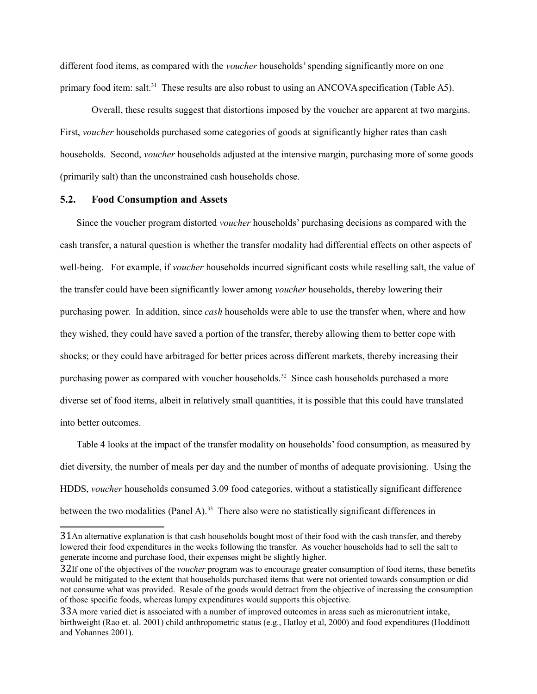different food items, as compared with the *voucher* households' spending significantly more on one primary food item: salt.<sup>31</sup> These results are also robust to using an ANCOVA specification (Table A5).

Overall, these results suggest that distortions imposed by the voucher are apparent at two margins. First, *voucher* households purchased some categories of goods at significantly higher rates than cash households. Second, *voucher* households adjusted at the intensive margin, purchasing more of some goods (primarily salt) than the unconstrained cash households chose.

## **5.2. Food Consumption and Assets**

Since the voucher program distorted *voucher* households' purchasing decisions as compared with the cash transfer, a natural question is whether the transfer modality had differential effects on other aspects of well-being. For example, if *voucher* households incurred significant costs while reselling salt, the value of the transfer could have been significantly lower among *voucher* households, thereby lowering their purchasing power. In addition, since *cash* households were able to use the transfer when, where and how they wished, they could have saved a portion of the transfer, thereby allowing them to better cope with shocks; or they could have arbitraged for better prices across different markets, thereby increasing their purchasing power as compared with voucher households.<sup>32</sup> Since cash households purchased a more diverse set of food items, albeit in relatively small quantities, it is possible that this could have translated into better outcomes.

Table 4 looks at the impact of the transfer modality on households' food consumption, as measured by diet diversity, the number of meals per day and the number of months of adequate provisioning. Using the HDDS, *voucher* households consumed 3.09 food categories, without a statistically significant difference between the two modalities (Panel A).<sup>33</sup> There also were no statistically significant differences in

<span id="page-17-0"></span><sup>31</sup>An alternative explanation is that cash households bought most of their food with the cash transfer, and thereby lowered their food expenditures in the weeks following the transfer. As voucher households had to sell the salt to generate income and purchase food, their expenses might be slightly higher.

<span id="page-17-1"></span><sup>32</sup>If one of the objectives of the *voucher* program was to encourage greater consumption of food items, these benefits would be mitigated to the extent that households purchased items that were not oriented towards consumption or did not consume what was provided. Resale of the goods would detract from the objective of increasing the consumption of those specific foods, whereas lumpy expenditures would supports this objective.

<span id="page-17-2"></span><sup>33</sup>A more varied diet is associated with a number of improved outcomes in areas such as micronutrient intake, birthweight (Rao et. al. 2001) child anthropometric status (e.g., Hatloy et al, 2000) and food expenditures (Hoddinott and Yohannes 2001).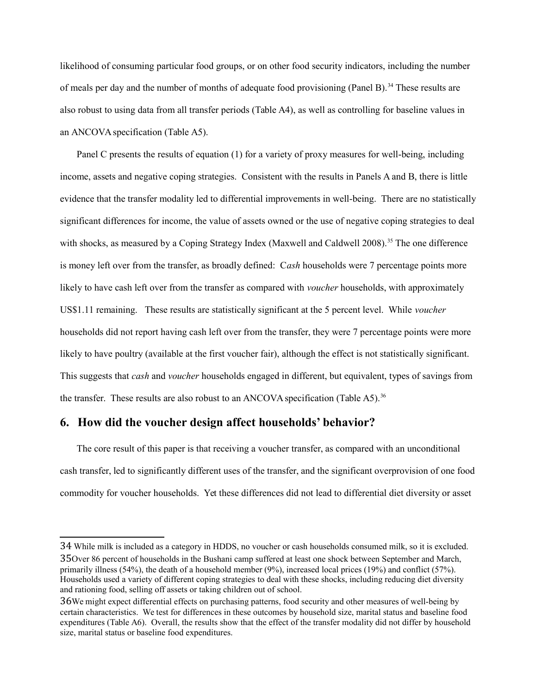likelihood of consuming particular food groups, or on other food security indicators, including the number of meals per day and the number of months of adequate food provisioning (Panel B).<sup>34</sup> These results are also robust to using data from all transfer periods (Table A4), as well as controlling for baseline values in an ANCOVA specification (Table A5).

Panel C presents the results of equation (1) for a variety of proxy measures for well-being, including income, assets and negative coping strategies. Consistent with the results in Panels A and B, there is little evidence that the transfer modality led to differential improvements in well-being. There are no statistically significant differences for income, the value of assets owned or the use of negative coping strategies to deal with shocks, as measured by a Coping Strategy Index (Maxwell and Caldwell 2008).<sup>35</sup> The one difference is money left over from the transfer, as broadly defined: C*ash* households were 7 percentage points more likely to have cash left over from the transfer as compared with *voucher* households, with approximately US\$1.11 remaining. These results are statistically significant at the 5 percent level. While *voucher*  households did not report having cash left over from the transfer, they were 7 percentage points were more likely to have poultry (available at the first voucher fair), although the effect is not statistically significant. This suggests that *cash* and *voucher* households engaged in different, but equivalent, types of savings from the transfer. These results are also robust to an ANCOVA specification (Table A5).<sup>36</sup>

## **6. How did the voucher design affect households' behavior?**

The core result of this paper is that receiving a voucher transfer, as compared with an unconditional cash transfer, led to significantly different uses of the transfer, and the significant overprovision of one food commodity for voucher households. Yet these differences did not lead to differential diet diversity or asset

<span id="page-18-1"></span><span id="page-18-0"></span><sup>34</sup> While milk is included as a category in HDDS, no voucher or cash households consumed milk, so it is excluded. 35Over 86 percent of households in the Bushani camp suffered at least one shock between September and March, primarily illness (54%), the death of a household member (9%), increased local prices (19%) and conflict (57%). Households used a variety of different coping strategies to deal with these shocks, including reducing diet diversity and rationing food, selling off assets or taking children out of school.

<span id="page-18-2"></span><sup>36</sup>We might expect differential effects on purchasing patterns, food security and other measures of well-being by certain characteristics. We test for differences in these outcomes by household size, marital status and baseline food expenditures (Table A6). Overall, the results show that the effect of the transfer modality did not differ by household size, marital status or baseline food expenditures.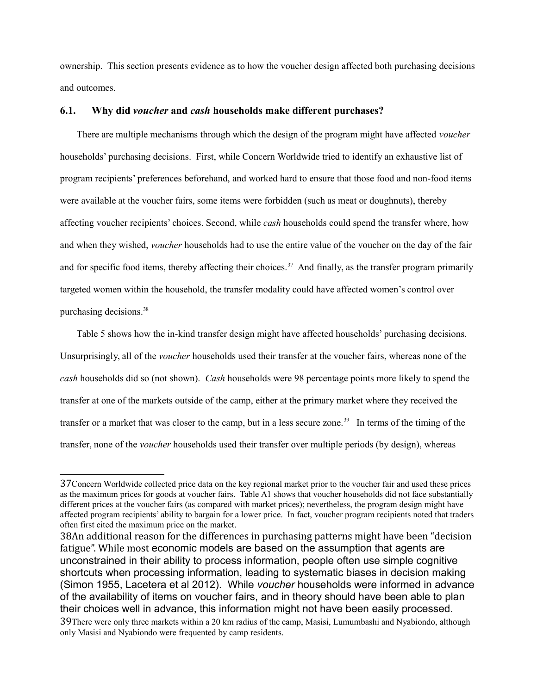ownership. This section presents evidence as to how the voucher design affected both purchasing decisions and outcomes.

## **6.1. Why did** *voucher* **and** *cash* **households make different purchases?**

There are multiple mechanisms through which the design of the program might have affected *voucher*  households' purchasing decisions. First, while Concern Worldwide tried to identify an exhaustive list of program recipients' preferences beforehand, and worked hard to ensure that those food and non-food items were available at the voucher fairs, some items were forbidden (such as meat or doughnuts), thereby affecting voucher recipients' choices. Second, while *cash* households could spend the transfer where, how and when they wished, *voucher* households had to use the entire value of the voucher on the day of the fair and for specific food items, thereby affecting their choices.<sup>37</sup> And finally, as the transfer program primarily targeted women within the household, the transfer modality could have affected women's control over purchasing decisions[.38](#page-19-1) 

Table 5 shows how the in-kind transfer design might have affected households' purchasing decisions. Unsurprisingly, all of the *voucher* households used their transfer at the voucher fairs, whereas none of the *cash* households did so (not shown). *Cash* households were 98 percentage points more likely to spend the transfer at one of the markets outside of the camp, either at the primary market where they received the transfer or a market that was closer to the camp, but in a less secure zone.<sup>39</sup> In terms of the timing of the transfer, none of the *voucher* households used their transfer over multiple periods (by design), whereas

<span id="page-19-0"></span><sup>37</sup>Concern Worldwide collected price data on the key regional market prior to the voucher fair and used these prices as the maximum prices for goods at voucher fairs. Table A1 shows that voucher households did not face substantially different prices at the voucher fairs (as compared with market prices); nevertheless, the program design might have affected program recipients' ability to bargain for a lower price. In fact, voucher program recipients noted that traders often first cited the maximum price on the market.

<span id="page-19-2"></span><span id="page-19-1"></span><sup>38</sup>An additional reason for the differences in purchasing patterns might have been "decision fatigue". While most economic models are based on the assumption that agents are unconstrained in their ability to process information, people often use simple cognitive shortcuts when processing information, leading to systematic biases in decision making (Simon 1955, Lacetera et al 2012). While *voucher* households were informed in advance of the availability of items on voucher fairs, and in theory should have been able to plan their choices well in advance, this information might not have been easily processed. 39There were only three markets within a 20 km radius of the camp, Masisi, Lumumbashi and Nyabiondo, although only Masisi and Nyabiondo were frequented by camp residents.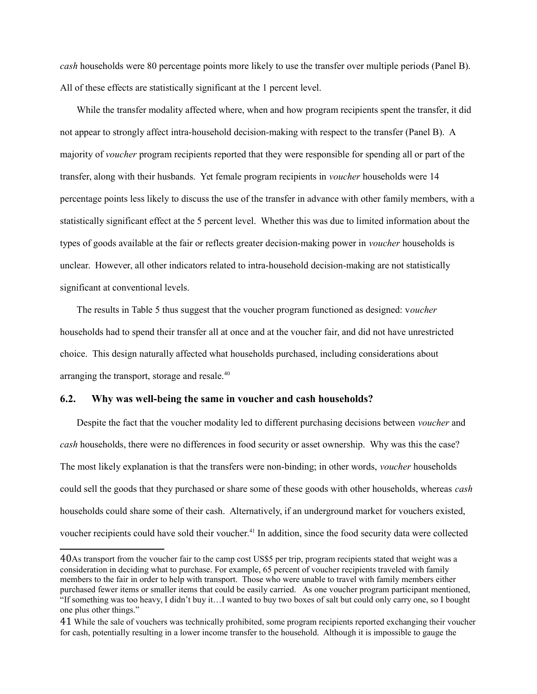*cash* households were 80 percentage points more likely to use the transfer over multiple periods (Panel B). All of these effects are statistically significant at the 1 percent level.

While the transfer modality affected where, when and how program recipients spent the transfer, it did not appear to strongly affect intra-household decision-making with respect to the transfer (Panel B). A majority of *voucher* program recipients reported that they were responsible for spending all or part of the transfer, along with their husbands. Yet female program recipients in *voucher* households were 14 percentage points less likely to discuss the use of the transfer in advance with other family members, with a statistically significant effect at the 5 percent level. Whether this was due to limited information about the types of goods available at the fair or reflects greater decision-making power in *voucher* households is unclear. However, all other indicators related to intra-household decision-making are not statistically significant at conventional levels.

The results in Table 5 thus suggest that the voucher program functioned as designed: v*oucher*  households had to spend their transfer all at once and at the voucher fair, and did not have unrestricted choice. This design naturally affected what households purchased, including considerations about arranging the transport, storage and resale.<sup>40</sup>

### **6.2. Why was well-being the same in voucher and cash households?**

Despite the fact that the voucher modality led to different purchasing decisions between *voucher* and *cash* households, there were no differences in food security or asset ownership. Why was this the case? The most likely explanation is that the transfers were non-binding; in other words, *voucher* households could sell the goods that they purchased or share some of these goods with other households, whereas *cash* households could share some of their cash. Alternatively, if an underground market for vouchers existed, voucher recipients could have sold their voucher.<sup>41</sup> In addition, since the food security data were collected

<span id="page-20-0"></span><sup>40</sup>As transport from the voucher fair to the camp cost US\$5 per trip, program recipients stated that weight was a consideration in deciding what to purchase. For example, 65 percent of voucher recipients traveled with family members to the fair in order to help with transport. Those who were unable to travel with family members either purchased fewer items or smaller items that could be easily carried. As one voucher program participant mentioned, "If something was too heavy, I didn't buy it…I wanted to buy two boxes of salt but could only carry one, so I bought one plus other things."

<span id="page-20-1"></span><sup>41</sup> While the sale of vouchers was technically prohibited, some program recipients reported exchanging their voucher for cash, potentially resulting in a lower income transfer to the household. Although it is impossible to gauge the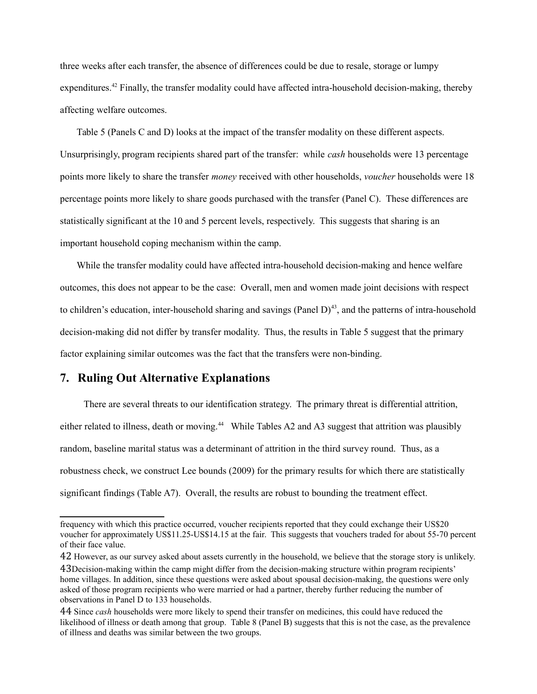three weeks after each transfer, the absence of differences could be due to resale, storage or lumpy expenditures.<sup>42</sup> Finally, the transfer modality could have affected intra-household decision-making, thereby affecting welfare outcomes.

Table 5 (Panels C and D) looks at the impact of the transfer modality on these different aspects. Unsurprisingly, program recipients shared part of the transfer: while *cash* households were 13 percentage points more likely to share the transfer *money* received with other households, *voucher* households were 18 percentage points more likely to share goods purchased with the transfer (Panel C). These differences are statistically significant at the 10 and 5 percent levels, respectively. This suggests that sharing is an important household coping mechanism within the camp.

While the transfer modality could have affected intra-household decision-making and hence welfare outcomes, this does not appear to be the case: Overall, men and women made joint decisions with respect to children's education, inter-household sharing and savings (Panel  $D$ )<sup>43</sup>, and the patterns of intra-household decision-making did not differ by transfer modality. Thus, the results in Table 5 suggest that the primary factor explaining similar outcomes was the fact that the transfers were non-binding.

# **7. Ruling Out Alternative Explanations**

There are several threats to our identification strategy. The primary threat is differential attrition, either related to illness, death or moving.<sup>44</sup> While Tables A2 and A3 suggest that attrition was plausibly random, baseline marital status was a determinant of attrition in the third survey round. Thus, as a robustness check, we construct Lee bounds (2009) for the primary results for which there are statistically significant findings (Table A7). Overall, the results are robust to bounding the treatment effect.

frequency with which this practice occurred, voucher recipients reported that they could exchange their US\$20 voucher for approximately US\$11.25-US\$14.15 at the fair. This suggests that vouchers traded for about 55-70 percent of their face value.

<span id="page-21-1"></span><span id="page-21-0"></span><sup>42</sup> However, as our survey asked about assets currently in the household, we believe that the storage story is unlikely. 43Decision-making within the camp might differ from the decision-making structure within program recipients' home villages. In addition, since these questions were asked about spousal decision-making, the questions were only asked of those program recipients who were married or had a partner, thereby further reducing the number of observations in Panel D to 133 households.

<span id="page-21-2"></span><sup>44</sup> Since *cash* households were more likely to spend their transfer on medicines, this could have reduced the likelihood of illness or death among that group. Table 8 (Panel B) suggests that this is not the case, as the prevalence of illness and deaths was similar between the two groups.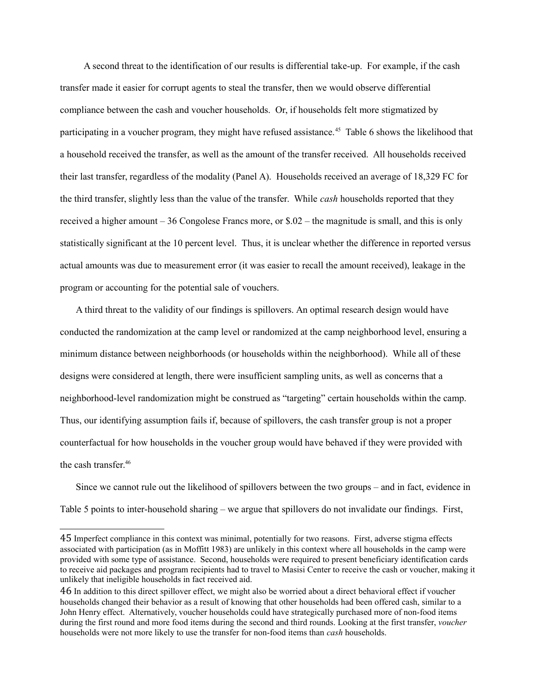A second threat to the identification of our results is differential take-up. For example, if the cash transfer made it easier for corrupt agents to steal the transfer, then we would observe differential compliance between the cash and voucher households. Or, if households felt more stigmatized by participating in a voucher program, they might have refused assistance.[45](#page-22-0) Table 6 shows the likelihood that a household received the transfer, as well as the amount of the transfer received. All households received their last transfer, regardless of the modality (Panel A). Households received an average of 18,329 FC for the third transfer, slightly less than the value of the transfer. While *cash* households reported that they received a higher amount – 36 Congolese Francs more, or \$.02 – the magnitude is small, and this is only statistically significant at the 10 percent level. Thus, it is unclear whether the difference in reported versus actual amounts was due to measurement error (it was easier to recall the amount received), leakage in the program or accounting for the potential sale of vouchers.

A third threat to the validity of our findings is spillovers. An optimal research design would have conducted the randomization at the camp level or randomized at the camp neighborhood level, ensuring a minimum distance between neighborhoods (or households within the neighborhood). While all of these designs were considered at length, there were insufficient sampling units, as well as concerns that a neighborhood-level randomization might be construed as "targeting" certain households within the camp. Thus, our identifying assumption fails if, because of spillovers, the cash transfer group is not a proper counterfactual for how households in the voucher group would have behaved if they were provided with the cash transfer $46$ 

Since we cannot rule out the likelihood of spillovers between the two groups – and in fact, evidence in Table 5 points to inter-household sharing – we argue that spillovers do not invalidate our findings. First,

<span id="page-22-0"></span><sup>45</sup> Imperfect compliance in this context was minimal, potentially for two reasons. First, adverse stigma effects associated with participation (as in Moffitt 1983) are unlikely in this context where all households in the camp were provided with some type of assistance. Second, households were required to present beneficiary identification cards to receive aid packages and program recipients had to travel to Masisi Center to receive the cash or voucher, making it unlikely that ineligible households in fact received aid.

<span id="page-22-1"></span><sup>46</sup> In addition to this direct spillover effect, we might also be worried about a direct behavioral effect if voucher households changed their behavior as a result of knowing that other households had been offered cash, similar to a John Henry effect. Alternatively, voucher households could have strategically purchased more of non-food items during the first round and more food items during the second and third rounds. Looking at the first transfer, *voucher*  households were not more likely to use the transfer for non-food items than *cash* households.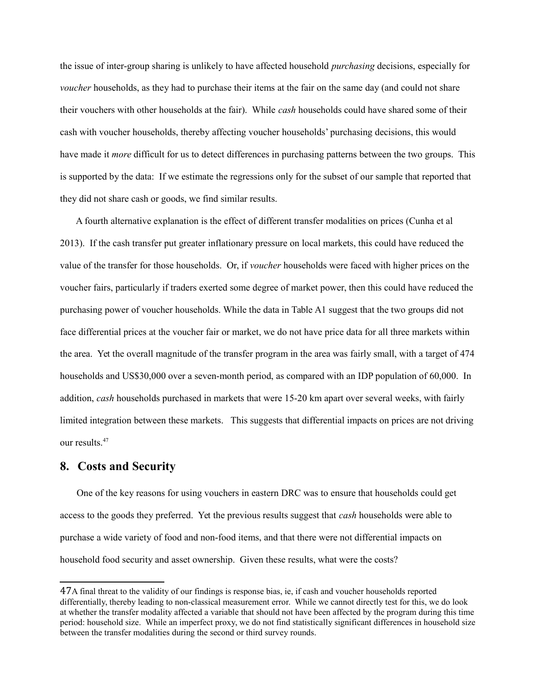the issue of inter-group sharing is unlikely to have affected household *purchasing* decisions, especially for *voucher* households, as they had to purchase their items at the fair on the same day (and could not share their vouchers with other households at the fair). While *cash* households could have shared some of their cash with voucher households, thereby affecting voucher households' purchasing decisions, this would have made it *more* difficult for us to detect differences in purchasing patterns between the two groups. This is supported by the data: If we estimate the regressions only for the subset of our sample that reported that they did not share cash or goods, we find similar results.

A fourth alternative explanation is the effect of different transfer modalities on prices (Cunha et al 2013). If the cash transfer put greater inflationary pressure on local markets, this could have reduced the value of the transfer for those households. Or, if *voucher* households were faced with higher prices on the voucher fairs, particularly if traders exerted some degree of market power, then this could have reduced the purchasing power of voucher households. While the data in Table A1 suggest that the two groups did not face differential prices at the voucher fair or market, we do not have price data for all three markets within the area. Yet the overall magnitude of the transfer program in the area was fairly small, with a target of 474 households and US\$30,000 over a seven-month period, as compared with an IDP population of 60,000. In addition, *cash* households purchased in markets that were 15-20 km apart over several weeks, with fairly limited integration between these markets. This suggests that differential impacts on prices are not driving our results.<sup>47</sup>

## **8. Costs and Security**

One of the key reasons for using vouchers in eastern DRC was to ensure that households could get access to the goods they preferred. Yet the previous results suggest that *cash* households were able to purchase a wide variety of food and non-food items, and that there were not differential impacts on household food security and asset ownership. Given these results, what were the costs?

<span id="page-23-0"></span><sup>47</sup>A final threat to the validity of our findings is response bias, ie, if cash and voucher households reported differentially, thereby leading to non-classical measurement error. While we cannot directly test for this, we do look at whether the transfer modality affected a variable that should not have been affected by the program during this time period: household size. While an imperfect proxy, we do not find statistically significant differences in household size between the transfer modalities during the second or third survey rounds.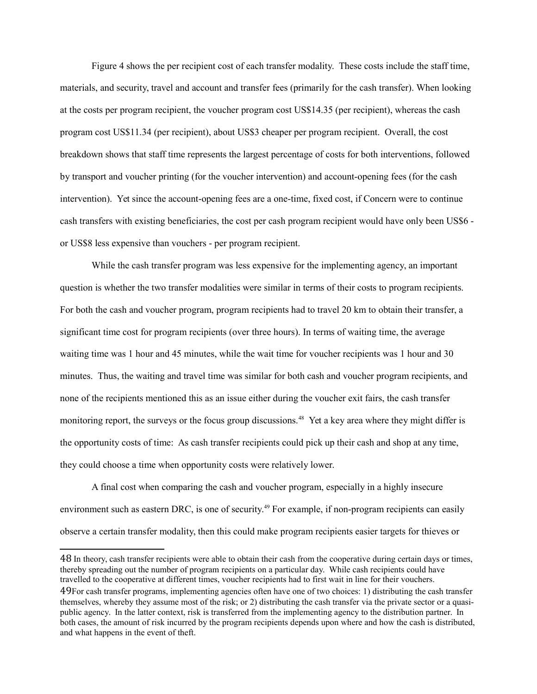Figure 4 shows the per recipient cost of each transfer modality. These costs include the staff time, materials, and security, travel and account and transfer fees (primarily for the cash transfer). When looking at the costs per program recipient, the voucher program cost US\$14.35 (per recipient), whereas the cash program cost US\$11.34 (per recipient), about US\$3 cheaper per program recipient. Overall, the cost breakdown shows that staff time represents the largest percentage of costs for both interventions, followed by transport and voucher printing (for the voucher intervention) and account-opening fees (for the cash intervention). Yet since the account-opening fees are a one-time, fixed cost, if Concern were to continue cash transfers with existing beneficiaries, the cost per cash program recipient would have only been US\$6 or US\$8 less expensive than vouchers - per program recipient.

While the cash transfer program was less expensive for the implementing agency, an important question is whether the two transfer modalities were similar in terms of their costs to program recipients. For both the cash and voucher program, program recipients had to travel 20 km to obtain their transfer, a significant time cost for program recipients (over three hours). In terms of waiting time, the average waiting time was 1 hour and 45 minutes, while the wait time for voucher recipients was 1 hour and 30 minutes. Thus, the waiting and travel time was similar for both cash and voucher program recipients, and none of the recipients mentioned this as an issue either during the voucher exit fairs, the cash transfer monitoring report, the surveys or the focus group discussions.<sup>48</sup> Yet a key area where they might differ is the opportunity costs of time: As cash transfer recipients could pick up their cash and shop at any time, they could choose a time when opportunity costs were relatively lower.

A final cost when comparing the cash and voucher program, especially in a highly insecure environment such as eastern DRC, is one of security.<sup>49</sup> For example, if non-program recipients can easily observe a certain transfer modality, then this could make program recipients easier targets for thieves or

<span id="page-24-0"></span><sup>48</sup> In theory, cash transfer recipients were able to obtain their cash from the cooperative during certain days or times, thereby spreading out the number of program recipients on a particular day. While cash recipients could have travelled to the cooperative at different times, voucher recipients had to first wait in line for their vouchers.

<span id="page-24-1"></span><sup>49</sup>For cash transfer programs, implementing agencies often have one of two choices: 1) distributing the cash transfer themselves, whereby they assume most of the risk; or 2) distributing the cash transfer via the private sector or a quasipublic agency. In the latter context, risk is transferred from the implementing agency to the distribution partner. In both cases, the amount of risk incurred by the program recipients depends upon where and how the cash is distributed, and what happens in the event of theft.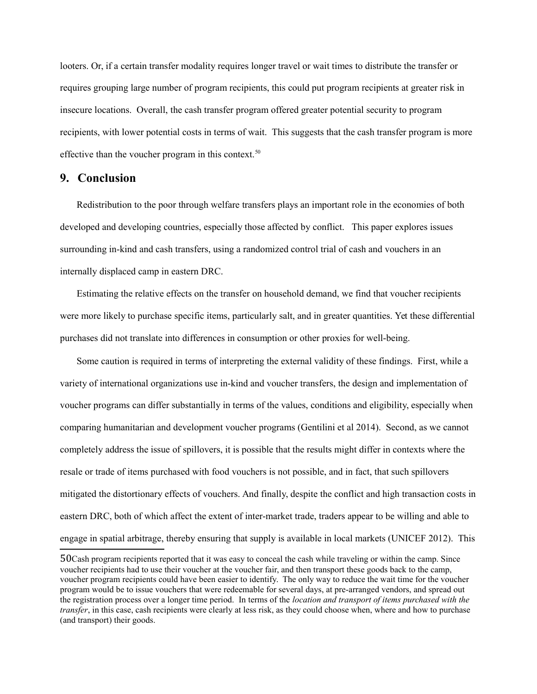looters. Or, if a certain transfer modality requires longer travel or wait times to distribute the transfer or requires grouping large number of program recipients, this could put program recipients at greater risk in insecure locations. Overall, the cash transfer program offered greater potential security to program recipients, with lower potential costs in terms of wait. This suggests that the cash transfer program is more effective than the voucher program in this context. $50$ 

# **9. Conclusion**

Redistribution to the poor through welfare transfers plays an important role in the economies of both developed and developing countries, especially those affected by conflict. This paper explores issues surrounding in-kind and cash transfers, using a randomized control trial of cash and vouchers in an internally displaced camp in eastern DRC.

Estimating the relative effects on the transfer on household demand, we find that voucher recipients were more likely to purchase specific items, particularly salt, and in greater quantities. Yet these differential purchases did not translate into differences in consumption or other proxies for well-being.

Some caution is required in terms of interpreting the external validity of these findings. First, while a variety of international organizations use in-kind and voucher transfers, the design and implementation of voucher programs can differ substantially in terms of the values, conditions and eligibility, especially when comparing humanitarian and development voucher programs (Gentilini et al 2014). Second, as we cannot completely address the issue of spillovers, it is possible that the results might differ in contexts where the resale or trade of items purchased with food vouchers is not possible, and in fact, that such spillovers mitigated the distortionary effects of vouchers. And finally, despite the conflict and high transaction costs in eastern DRC, both of which affect the extent of inter-market trade, traders appear to be willing and able to engage in spatial arbitrage, thereby ensuring that supply is available in local markets (UNICEF 2012). This

<span id="page-25-0"></span><sup>50</sup>Cash program recipients reported that it was easy to conceal the cash while traveling or within the camp. Since voucher recipients had to use their voucher at the voucher fair, and then transport these goods back to the camp, voucher program recipients could have been easier to identify. The only way to reduce the wait time for the voucher program would be to issue vouchers that were redeemable for several days, at pre-arranged vendors, and spread out the registration process over a longer time period. In terms of the *location and transport of items purchased with the transfer*, in this case, cash recipients were clearly at less risk, as they could choose when, where and how to purchase (and transport) their goods.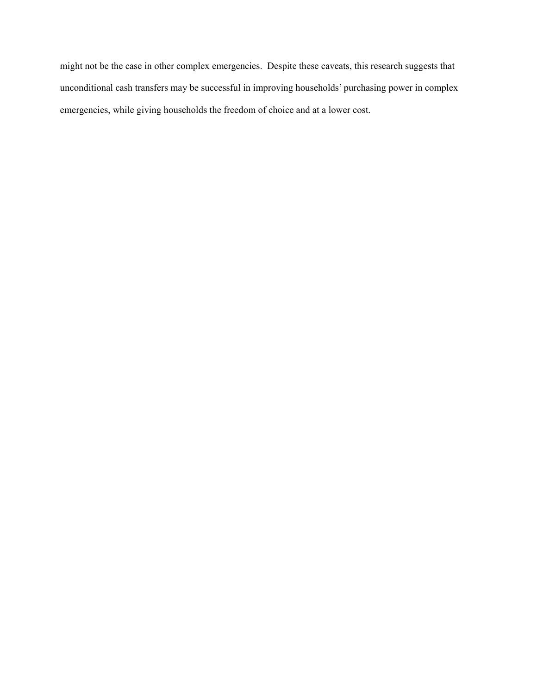might not be the case in other complex emergencies. Despite these caveats, this research suggests that unconditional cash transfers may be successful in improving households' purchasing power in complex emergencies, while giving households the freedom of choice and at a lower cost.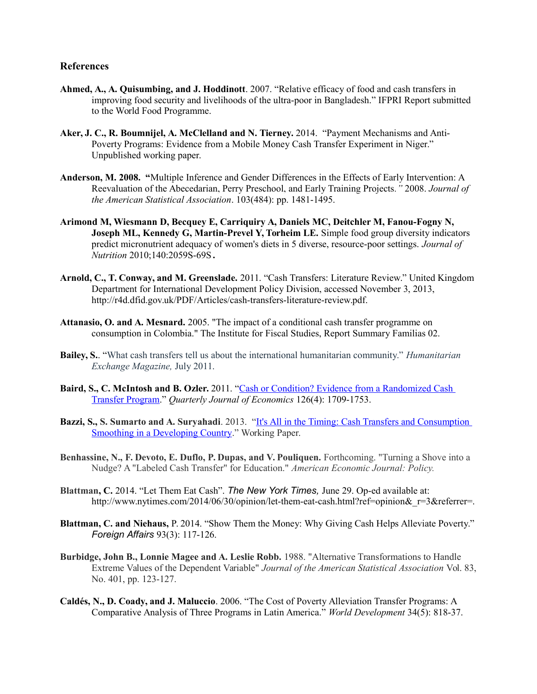### **References**

- **Ahmed, A., A. Quisumbing, and J. Hoddinott**. 2007. "Relative efficacy of food and cash transfers in improving food security and livelihoods of the ultra-poor in Bangladesh." IFPRI Report submitted to the World Food Programme.
- **Aker, J. C., R. Boumnijel, A. McClelland and N. Tierney.** 2014. "Payment Mechanisms and Anti-Poverty Programs: Evidence from a Mobile Money Cash Transfer Experiment in Niger." Unpublished working paper.
- **Anderson, M. 2008. "**[Multiple Inference and Gender Differences in the Effects of Early Intervention: A](http://are.berkeley.edu/~mlanderson/pdf/Anderson%202008a.pdf)  [Reevaluation of the Abecedarian, Perry Preschool, and Early Training Projects](http://are.berkeley.edu/~mlanderson/pdf/Anderson%202008a.pdf)*."* 2008. *Journal of the American Statistical Association*. 103(484): pp. 1481-1495.
- **Arimond M, Wiesmann D, Becquey E, Carriquiry A, Daniels MC, Deitchler M, Fanou-Fogny N, Joseph ML, Kennedy G, Martin-Prevel Y, Torheim LE.** Simple food group diversity indicators predict micronutrient adequacy of women's diets in 5 diverse, resource-poor settings. *Journal of Nutrition* 2010;140:2059S-69S.
- **Arnold, C., T. Conway, and M. Greenslade.** 2011. "Cash Transfers: Literature Review." United Kingdom Department for International Development Policy Division, accessed November 3, 2013, http://r4d.dfid.gov.uk/PDF/Articles/cash-transfers-literature-review.pdf.
- **Attanasio, O. and A. Mesnard.** 2005. "The impact of a conditional cash transfer programme on consumption in Colombia." The Institute for Fiscal Studies, Report Summary Familias 02.
- **Bailey, S.**. "What cash transfers tell us about the international humanitarian community." *Humanitarian Exchange Magazine,* July 2011.
- **Baird, S., C. McIntosh and B. Ozler.** 2011. ["Cash or Condition? Evidence from a Randomized Cash](http://irps.ucsd.edu/assets/037/11365.pdf)  [Transfer Program.](http://irps.ucsd.edu/assets/037/11365.pdf)" *Quarterly Journal of Economics* 126(4): 1709-1753.
- **Bazzi, S., S. Sumarto and A. Suryahadi**. 2013. "It's All in the Timing: Cash Transfers and Consumption [Smoothing in a Developing Country.](https://sites.google.com/site/samuelbazzi/research/BazziSumartoSuryahadi_Manuscript.pdf?attredirects=0)" Working Paper.
- **Benhassine, N., F. Devoto, E. Duflo, P. Dupas, and V. Pouliquen.** Forthcoming. "Turning a Shove into a Nudge? A "Labeled Cash Transfer" for Education." *American Economic Journal: Policy.*
- **Blattman, C.** 2014. "Let Them Eat Cash". *The New York Times,* June 29. Op-ed available at: http://www.nytimes.com/2014/06/30/opinion/let-them-eat-cash.html?ref=opinion&r=3&referrer=.
- **Blattman, C. and Niehaus,** P. 2014. "Show Them the Money: Why Giving Cash Helps Alleviate Poverty." *Foreign Affairs* 93(3): 117-126.
- **Burbidge, John B., Lonnie Magee and A. Leslie Robb.** 1988. "Alternative Transformations to Handle Extreme Values of the Dependent Variable" *Journal of the American Statistical Association* Vol. 83, No. 401, pp. 123-127.
- **Caldés, N., D. Coady, and J. Maluccio**. 2006. "The Cost of Poverty Alleviation Transfer Programs: A Comparative Analysis of Three Programs in Latin America." *World Development* 34(5): 818-37.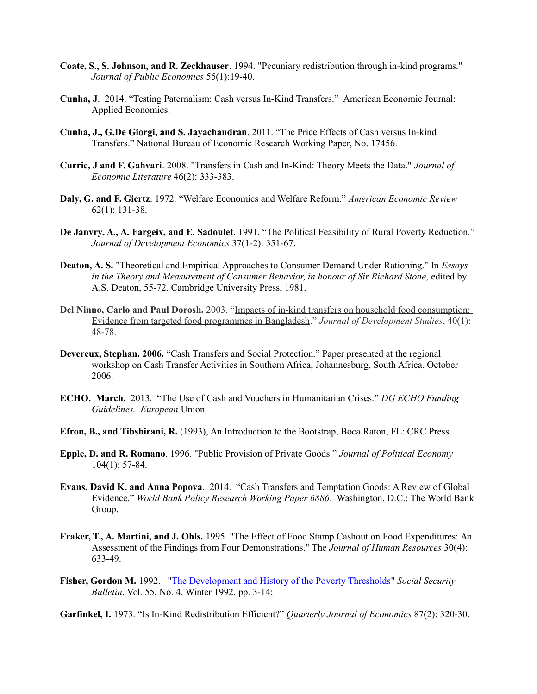- **Coate, S., S. Johnson, and R. Zeckhauser**. 1994. "Pecuniary redistribution through in-kind programs." *Journal of Public Economics* 55(1):19-40.
- **Cunha, J**. 2014. "Testing Paternalism: Cash versus In-Kind Transfers." American Economic Journal: Applied Economics.
- **Cunha, J., G.De Giorgi, and S. Jayachandran**. 2011. "The Price Effects of Cash versus In-kind Transfers." National Bureau of Economic Research Working Paper, No. 17456.
- **Currie, J and F. Gahvari**. 2008. "Transfers in Cash and In-Kind: Theory Meets the Data." *Journal of Economic Literature* 46(2): 333-383.
- **Daly, G. and F. Giertz**. 1972. "Welfare Economics and Welfare Reform." *American Economic Review* 62(1): 131-38.
- **De Janvry, A., A. Fargeix, and E. Sadoulet**. 1991. "The Political Feasibility of Rural Poverty Reduction." *Journal of Development Economics* 37(1-2): 351-67.
- **Deaton, A. S.** "Theoretical and Empirical Approaches to Consumer Demand Under Rationing." In *Essays*  in the Theory and Measurement of Consumer Behavior, in honour of Sir Richard Stone, edited by A.S. Deaton, 55-72. Cambridge University Press, 1981.
- **Del Ninno, Carlo and Paul Dorosh.** 2003. ["Impacts of in-kind transfers on household food consumption:](http://www.mendeley.com/c/3778839081/p/4560971/ninno-2003-impacts-of-in-kind-transfers-on-household-food-consumption-evidence-from-targeted-food-programmes-in-bangladesh/)  [Evidence from targeted food programmes in Bangladesh.](http://www.mendeley.com/c/3778839081/p/4560971/ninno-2003-impacts-of-in-kind-transfers-on-household-food-consumption-evidence-from-targeted-food-programmes-in-bangladesh/)" *Journal of Development Studies*, 40(1): 48-78.
- **Devereux, Stephan. 2006.** "Cash Transfers and Social Protection." Paper presented at the regional workshop on Cash Transfer Activities in Southern Africa, Johannesburg, South Africa, October 2006.
- **ECHO. March.** 2013. "The Use of Cash and Vouchers in Humanitarian Crises." *DG ECHO Funding Guidelines. European* Union.
- **Efron, B., and Tibshirani, R.** (1993), An Introduction to the Bootstrap, Boca Raton, FL: CRC Press.
- **Epple, D. and R. Romano**. 1996. "Public Provision of Private Goods." *Journal of Political Economy* 104(1): 57-84.
- **Evans, David K. and Anna Popova**. 2014. "Cash Transfers and Temptation Goods: A Review of Global Evidence." *World Bank Policy Research Working Paper 6886.* Washington, D.C.: The World Bank Group.
- **Fraker, T., A. Martini, and J. Ohls.** 1995. "The Effect of Food Stamp Cashout on Food Expenditures: An Assessment of the Findings from Four Demonstrations." The *Journal of Human Resources* 30(4): 633-49.
- **Fisher, Gordon M.** 1992. [" The Development and History of the Poverty Thresholds"](http://www.ssa.gov/history/fisheronpoverty.html) *Social Security Bulletin*, Vol. 55, No. 4, Winter 1992, pp. 3-14;

**Garfinkel, I.** 1973. "Is In-Kind Redistribution Efficient?" *Quarterly Journal of Economics* 87(2): 320-30.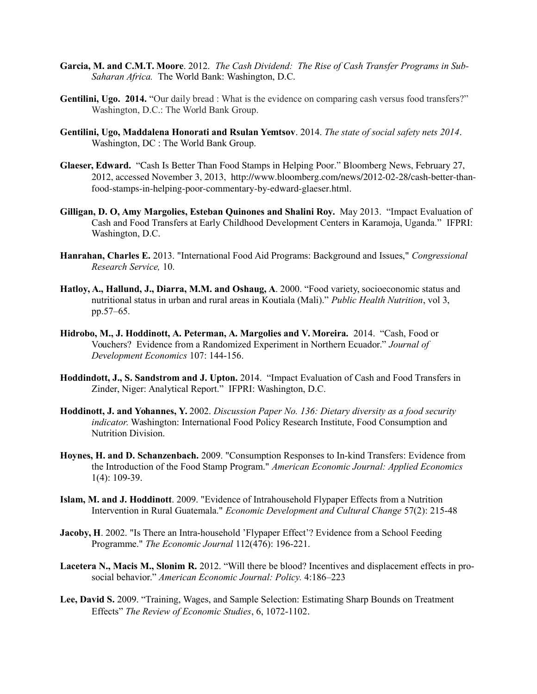- **Garcia, M. and C.M.T. Moore**. 2012. *The Cash Dividend: The Rise of Cash Transfer Programs in Sub-Saharan Africa.* The World Bank: Washington, D.C.
- **Gentilini, Ugo. 2014.** "Our daily bread : What is the evidence on comparing cash versus food transfers?" Washington, D.C.: The World Bank Group.
- **Gentilini, Ugo, Maddalena Honorati and Rsulan Yemtsov**. 2014. *The state of social safety nets 2014*. Washington, DC : The World Bank Group.
- **Glaeser, Edward.** "Cash Is Better Than Food Stamps in Helping Poor." Bloomberg News, February 27, 2012, accessed November 3, 2013, http://www.bloomberg.com/news/2012-02-28/cash-better-thanfood-stamps-in-helping-poor-commentary-by-edward-glaeser.html.
- **Gilligan, D. O, Amy Margolies, Esteban Quinones and Shalini Roy.** May 2013."Impact Evaluation of Cash and Food Transfers at Early Childhood Development Centers in Karamoja, Uganda."IFPRI: Washington, D.C.
- **Hanrahan, Charles E.** 2013. "International Food Aid Programs: Background and Issues," *Congressional Research Service,* 10.
- **Hatloy, A., Hallund, J., Diarra, M.M. and Oshaug, A**. 2000. "Food variety, socioeconomic status and nutritional status in urban and rural areas in Koutiala (Mali)." *Public Health Nutrition*, vol 3, pp.57–65.
- **Hidrobo, M., J. Hoddinott, A. Peterman, A. Margolies and V. Moreira.** 2014. "Cash, Food or Vouchers? Evidence from a Randomized Experiment in Northern Ecuador." *Journal of Development Economics* 107: 144-156.
- **Hoddindott, J., S. Sandstrom and J. Upton.** 2014. "Impact Evaluation of Cash and Food Transfers in Zinder, Niger: Analytical Report."IFPRI: Washington, D.C.
- **Hoddinott, J. and Yohannes, Y.** 2002. *Discussion Paper No. 136: Dietary diversity as a food security indicator.* Washington: International Food Policy Research Institute, Food Consumption and Nutrition Division.
- **Hoynes, H. and D. Schanzenbach.** 2009. "Consumption Responses to In-kind Transfers: Evidence from the Introduction of the Food Stamp Program." *American Economic Journal: Applied Economics* 1(4): 109-39.
- **Islam, M. and J. Hoddinott**. 2009. "Evidence of Intrahousehold Flypaper Effects from a Nutrition Intervention in Rural Guatemala." *Economic Development and Cultural Change* 57(2): 215-48
- **Jacoby, H**. 2002. "Is There an Intra-household 'Flypaper Effect'? Evidence from a School Feeding Programme." *The Economic Journal* 112(476): 196-221.
- **Lacetera N., Macis M., Slonim R.** 2012. "Will there be blood? Incentives and displacement effects in prosocial behavior." *American Economic Journal: Policy.* 4:186–223
- **Lee, David S.** 2009. "Training, Wages, and Sample Selection: Estimating Sharp Bounds on Treatment Effects" *The Review of Economic Studies*, 6, 1072-1102.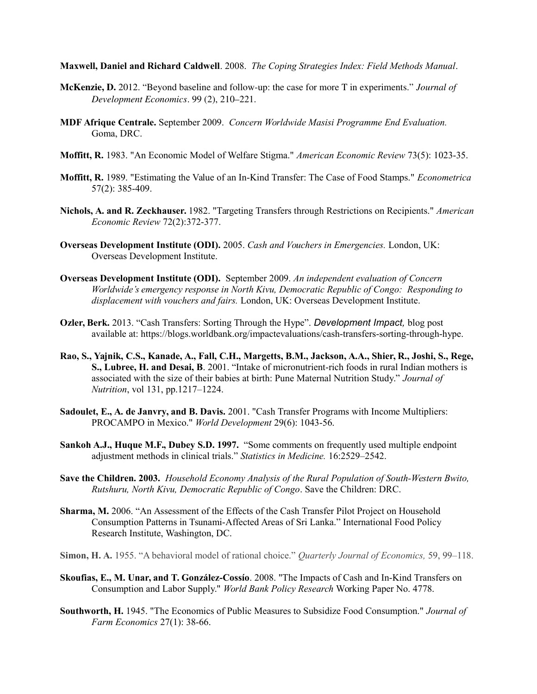**Maxwell, Daniel and Richard Caldwell**. 2008. *The Coping Strategies Index: Field Methods Manual*.

- McKenzie, D. 2012. "Beyond baseline and follow-up: the case for more T in experiments." *Journal of Development Economics*. 99 (2), 210–221.
- **MDF Afrique Centrale.** September 2009.*Concern Worldwide Masisi Programme End Evaluation.* Goma, DRC.
- **Moffitt, R.** 1983. "An Economic Model of Welfare Stigma." *American Economic Review* 73(5): 1023-35.
- **Moffitt, R.** 1989. "Estimating the Value of an In-Kind Transfer: The Case of Food Stamps." *Econometrica* 57(2): 385-409.
- **Nichols, A. and R. Zeckhauser.** 1982. "Targeting Transfers through Restrictions on Recipients." *American Economic Review* 72(2):372-377.
- **Overseas Development Institute (ODI).** 2005. *Cash and Vouchers in Emergencies.* London, UK: Overseas Development Institute.
- **Overseas Development Institute (ODI).** September 2009. *An independent evaluation of Concern Worldwide's emergency response in North Kivu, Democratic Republic of Congo: Responding to displacement with vouchers and fairs.* London, UK: Overseas Development Institute.
- **Ozler, Berk.** 2013. "Cash Transfers: Sorting Through the Hype". *Development Impact,* blog post available at: https://blogs.worldbank.org/impactevaluations/cash-transfers-sorting-through-hype.
- **Rao, S., Yajnik, C.S., Kanade, A., Fall, C.H., Margetts, B.M., Jackson, A.A., Shier, R., Joshi, S., Rege, S., Lubree, H. and Desai, B**. 2001. "Intake of micronutrient-rich foods in rural Indian mothers is associated with the size of their babies at birth: Pune Maternal Nutrition Study." *Journal of Nutrition*, vol 131, pp.1217–1224.
- **Sadoulet, E., A. de Janvry, and B. Davis.** 2001. "Cash Transfer Programs with Income Multipliers: PROCAMPO in Mexico." *World Development* 29(6): 1043-56.
- **Sankoh A.J., Huque M.F., Dubey S.D. 1997.** "Some comments on frequently used multiple endpoint adjustment methods in clinical trials." *Statistics in Medicine.* 16:2529–2542.
- **Save the Children. 2003.** *Household Economy Analysis of the Rural Population of South-Western Bwito, Rutshuru, North Kivu, Democratic Republic of Congo*. Save the Children: DRC.
- **Sharma, M.** 2006. "An Assessment of the Effects of the Cash Transfer Pilot Project on Household Consumption Patterns in Tsunami-Affected Areas of Sri Lanka." International Food Policy Research Institute, Washington, DC.
- **Simon, H. A.** 1955. "A behavioral model of rational choice." *Quarterly Journal of Economics,* 59, 99–118.
- **Skoufias, E., M. Unar, and T. González-Cossío**. 2008. "The Impacts of Cash and In-Kind Transfers on Consumption and Labor Supply." *World Bank Policy Research* Working Paper No. 4778.
- **Southworth, H.** 1945. "The Economics of Public Measures to Subsidize Food Consumption." *Journal of Farm Economics* 27(1): 38-66.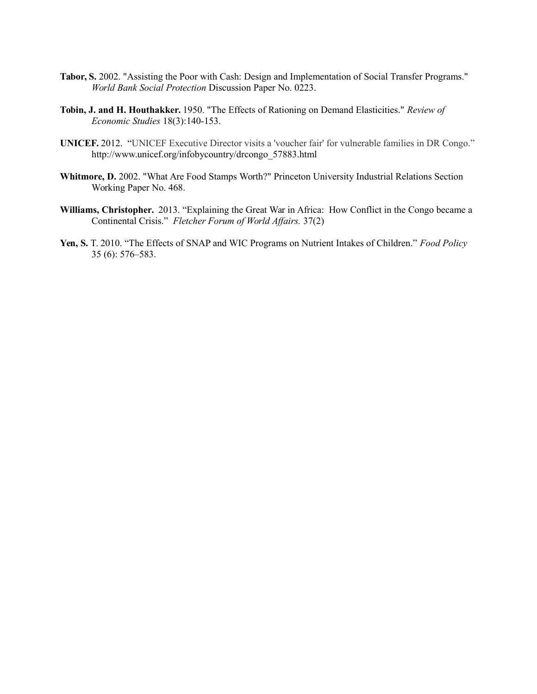- **Tabor, S.** 2002. "Assisting the Poor with Cash: Design and Implementation of Social Transfer Programs." *World Bank Social Protection* Discussion Paper No. 0223.
- **Tobin, J. and H. Houthakker.** 1950. "The Effects of Rationing on Demand Elasticities." *Review of Economic Studies* 18(3):140-153.
- **UNICEF.** 2012. "UNICEF Executive Director visits a 'voucher fair' for vulnerable families in DR Congo." http://www.unicef.org/infobycountry/drcongo\_57883.html
- **Whitmore, D.** 2002. "What Are Food Stamps Worth?" Princeton University Industrial Relations Section Working Paper No. 468.
- **Williams, Christopher.** 2013. "Explaining the Great War in Africa: How Conflict in the Congo became a Continental Crisis." *Fletcher Forum of World Affairs.* 37(2)
- **Yen, S.** T. 2010. "The Effects of SNAP and WIC Programs on Nutrient Intakes of Children." *Food Policy*  35 (6): 576–583.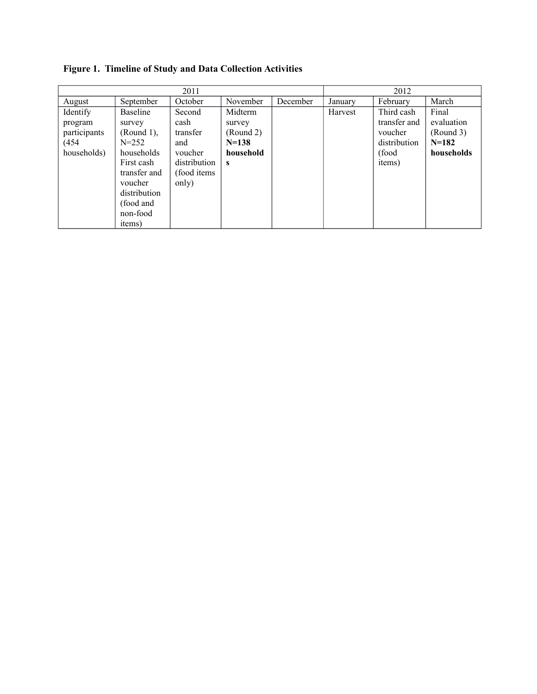**Figure 1. Timeline of Study and Data Collection Activities**

| 2011         |                 |              |           |          | 2012    |              |            |
|--------------|-----------------|--------------|-----------|----------|---------|--------------|------------|
| August       | September       | October      | November  | December | January | February     | March      |
| Identify     | <b>Baseline</b> | Second       | Midterm   |          | Harvest | Third cash   | Final      |
| program      | survey          | cash         | survey    |          |         | transfer and | evaluation |
| participants | $(Round 1)$ ,   | transfer     | (Round 2) |          |         | voucher      | (Round 3)  |
| (454         | $N = 252$       | and          | $N=138$   |          |         | distribution | $N=182$    |
| households)  | households      | voucher      | household |          |         | (food        | households |
|              | First cash      | distribution | s         |          |         | items)       |            |
|              | transfer and    | (food items) |           |          |         |              |            |
|              | voucher         | only)        |           |          |         |              |            |
|              | distribution    |              |           |          |         |              |            |
|              | (food and       |              |           |          |         |              |            |
|              | non-food        |              |           |          |         |              |            |
|              | items)          |              |           |          |         |              |            |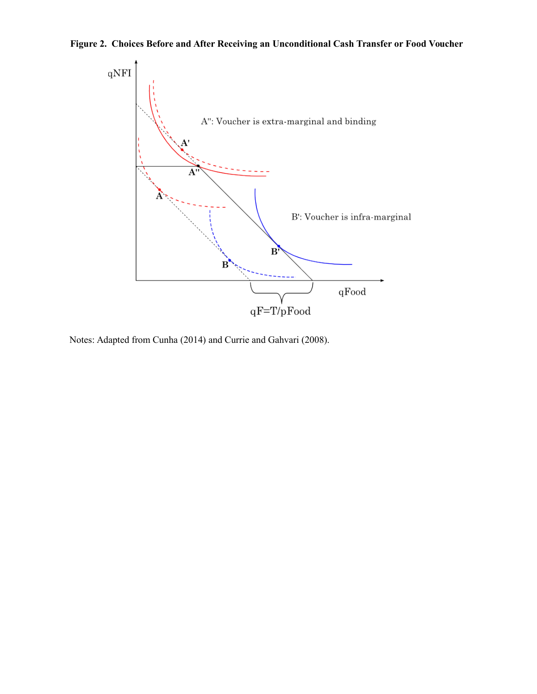



Notes: Adapted from Cunha (2014) and Currie and Gahvari (2008).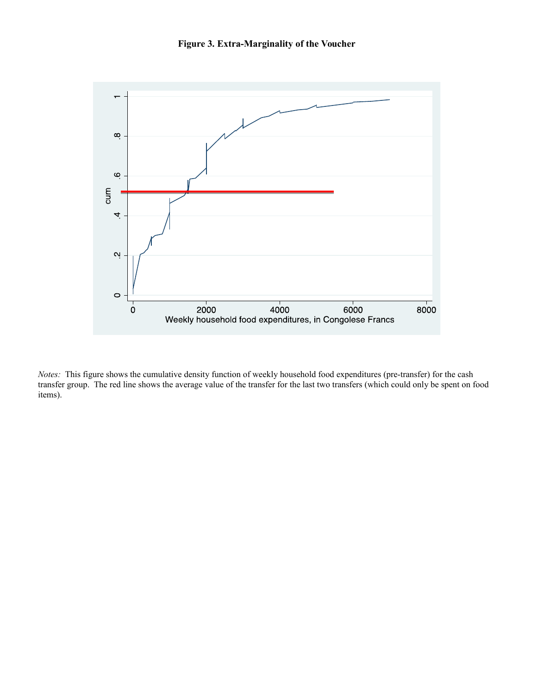

*Notes:* This figure shows the cumulative density function of weekly household food expenditures (pre-transfer) for the cash transfer group. The red line shows the average value of the transfer for the last two transfers (which could only be spent on food items).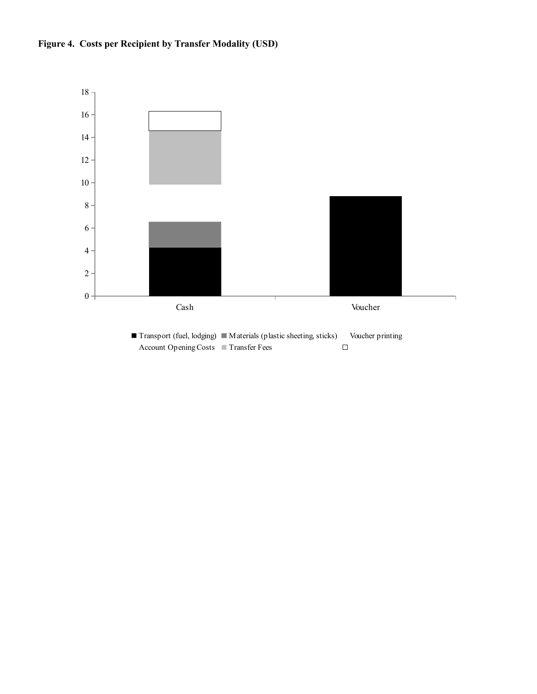

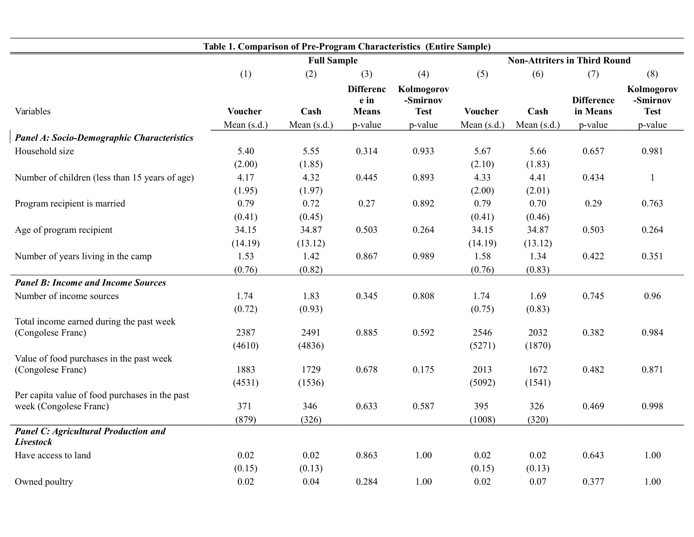| Table 1. Comparison of Pre-Program Characteristics (Entire Sample)       |                    |             |                                          |                                       |               |                                     |                               |                                       |
|--------------------------------------------------------------------------|--------------------|-------------|------------------------------------------|---------------------------------------|---------------|-------------------------------------|-------------------------------|---------------------------------------|
|                                                                          | <b>Full Sample</b> |             |                                          |                                       |               | <b>Non-Attriters in Third Round</b> |                               |                                       |
|                                                                          | (1)                | (2)         | (3)                                      | (4)                                   | (5)           | (6)                                 | (7)                           | (8)                                   |
| Variables                                                                | Voucher            | Cash        | <b>Differenc</b><br>e in<br><b>Means</b> | Kolmogorov<br>-Smirnov<br><b>Test</b> | Voucher       | Cash                                | <b>Difference</b><br>in Means | Kolmogorov<br>-Smirnov<br><b>Test</b> |
|                                                                          | Mean $(s.d.)$      | Mean (s.d.) | p-value                                  | p-value                               | Mean $(s.d.)$ | Mean $(s.d.)$                       | p-value                       | p-value                               |
| <b>Panel A: Socio-Demographic Characteristics</b>                        |                    |             |                                          |                                       |               |                                     |                               |                                       |
| Household size                                                           | 5.40               | 5.55        | 0.314                                    | 0.933                                 | 5.67          | 5.66                                | 0.657                         | 0.981                                 |
|                                                                          | (2.00)             | (1.85)      |                                          |                                       | (2.10)        | (1.83)                              |                               |                                       |
| Number of children (less than 15 years of age)                           | 4.17               | 4.32        | 0.445                                    | 0.893                                 | 4.33          | 4.41                                | 0.434                         | $\overline{\mathbf{1}}$               |
|                                                                          | (1.95)             | (1.97)      |                                          |                                       | (2.00)        | (2.01)                              |                               |                                       |
| Program recipient is married                                             | 0.79               | 0.72        | 0.27                                     | 0.892                                 | 0.79          | 0.70                                | 0.29                          | 0.763                                 |
|                                                                          | (0.41)             | (0.45)      |                                          |                                       | (0.41)        | (0.46)                              |                               |                                       |
| Age of program recipient                                                 | 34.15              | 34.87       | 0.503                                    | 0.264                                 | 34.15         | 34.87                               | 0.503                         | 0.264                                 |
|                                                                          | (14.19)            | (13.12)     |                                          |                                       | (14.19)       | (13.12)                             |                               |                                       |
| Number of years living in the camp                                       | 1.53               | 1.42        | 0.867                                    | 0.989                                 | 1.58          | 1.34                                | 0.422                         | 0.351                                 |
|                                                                          | (0.76)             | (0.82)      |                                          |                                       | (0.76)        | (0.83)                              |                               |                                       |
| <b>Panel B: Income and Income Sources</b>                                |                    |             |                                          |                                       |               |                                     |                               |                                       |
| Number of income sources                                                 | 1.74               | 1.83        | 0.345                                    | 0.808                                 | 1.74          | 1.69                                | 0.745                         | 0.96                                  |
|                                                                          | (0.72)             | (0.93)      |                                          |                                       | (0.75)        | (0.83)                              |                               |                                       |
| Total income earned during the past week                                 |                    |             |                                          |                                       |               |                                     |                               |                                       |
| (Congolese Franc)                                                        | 2387               | 2491        | 0.885                                    | 0.592                                 | 2546          | 2032                                | 0.382                         | 0.984                                 |
|                                                                          | (4610)             | (4836)      |                                          |                                       | (5271)        | (1870)                              |                               |                                       |
| Value of food purchases in the past week                                 |                    |             |                                          |                                       |               |                                     |                               |                                       |
| (Congolese Franc)                                                        | 1883               | 1729        | 0.678                                    | 0.175                                 | 2013          | 1672                                | 0.482                         | 0.871                                 |
|                                                                          | (4531)             | (1536)      |                                          |                                       | (5092)        | (1541)                              |                               |                                       |
| Per capita value of food purchases in the past<br>week (Congolese Franc) | 371                | 346         | 0.633                                    | 0.587                                 | 395           | 326                                 | 0.469                         | 0.998                                 |
|                                                                          | (879)              | (326)       |                                          |                                       | (1008)        | (320)                               |                               |                                       |
| <b>Panel C: Agricultural Production and</b><br><b>Livestock</b>          |                    |             |                                          |                                       |               |                                     |                               |                                       |
| Have access to land                                                      | 0.02               | 0.02        | 0.863                                    | 1.00                                  | 0.02          | 0.02                                | 0.643                         | 1.00                                  |
|                                                                          |                    |             |                                          |                                       |               |                                     |                               |                                       |
|                                                                          | 0.02               | 0.04        | 0.284                                    | 1.00                                  | 0.02          | 0.07                                | 0.377                         |                                       |
| Owned poultry                                                            | (0.15)             | (0.13)      |                                          |                                       | (0.15)        | (0.13)                              |                               | 1.00                                  |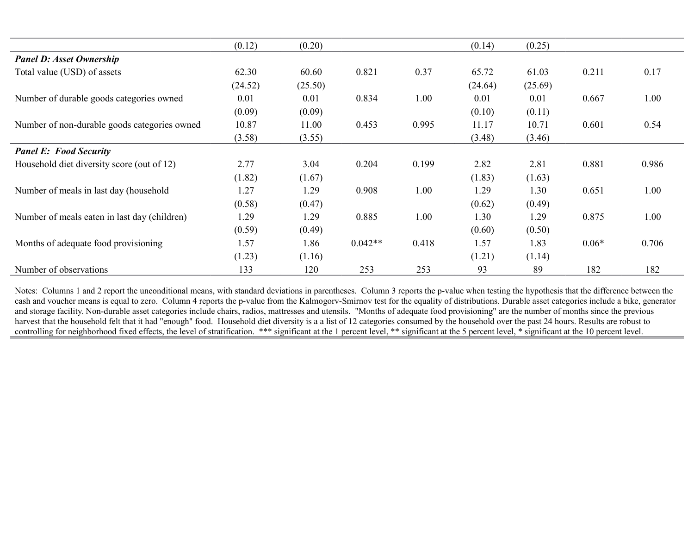|                                              | (0.12)  | (0.20)  |           |       | (0.14)  | (0.25)  |         |       |
|----------------------------------------------|---------|---------|-----------|-------|---------|---------|---------|-------|
| <b>Panel D: Asset Ownership</b>              |         |         |           |       |         |         |         |       |
| Total value (USD) of assets                  | 62.30   | 60.60   | 0.821     | 0.37  | 65.72   | 61.03   | 0.211   | 0.17  |
|                                              | (24.52) | (25.50) |           |       | (24.64) | (25.69) |         |       |
| Number of durable goods categories owned     | 0.01    | 0.01    | 0.834     | 1.00  | 0.01    | 0.01    | 0.667   | 1.00  |
|                                              | (0.09)  | (0.09)  |           |       | (0.10)  | (0.11)  |         |       |
| Number of non-durable goods categories owned | 10.87   | 11.00   | 0.453     | 0.995 | 11.17   | 10.71   | 0.601   | 0.54  |
|                                              | (3.58)  | (3.55)  |           |       | (3.48)  | (3.46)  |         |       |
| <b>Panel E: Food Security</b>                |         |         |           |       |         |         |         |       |
| Household diet diversity score (out of 12)   | 2.77    | 3.04    | 0.204     | 0.199 | 2.82    | 2.81    | 0.881   | 0.986 |
|                                              | (1.82)  | (1.67)  |           |       | (1.83)  | (1.63)  |         |       |
| Number of meals in last day (household       | 1.27    | 1.29    | 0.908     | 1.00  | 1.29    | 1.30    | 0.651   | 1.00  |
|                                              | (0.58)  | (0.47)  |           |       | (0.62)  | (0.49)  |         |       |
| Number of meals eaten in last day (children) | 1.29    | 1.29    | 0.885     | 1.00  | 1.30    | 1.29    | 0.875   | 1.00  |
|                                              | (0.59)  | (0.49)  |           |       | (0.60)  | (0.50)  |         |       |
| Months of adequate food provisioning         | 1.57    | 1.86    | $0.042**$ | 0.418 | 1.57    | 1.83    | $0.06*$ | 0.706 |
|                                              | (1.23)  | (1.16)  |           |       | (1.21)  | (1.14)  |         |       |
| Number of observations                       | 133     | 120     | 253       | 253   | 93      | 89      | 182     | 182   |

Notes: Columns 1 and 2 report the unconditional means, with standard deviations in parentheses. Column 3 reports the p-value when testing the hypothesis that the difference between the cash and voucher means is equal to zero. Column 4 reports the p-value from the Kalmogory-Smirnov test for the equality of distributions. Durable asset categories include a bike, generator and storage facility. Non-durable asset categories include chairs, radios, mattresses and utensils. "Months of adequate food provisioning" are the number of months since the previous harvest that the household felt that it had "enough" food. Household diet diversity is a a list of 12 categories consumed by the household over the past 24 hours. Results are robust to controlling for neighborhood fixed effects, the level of stratification. \*\*\* significant at the 1 percent level, \*\* significant at the 5 percent level, \* significant at the 10 percent level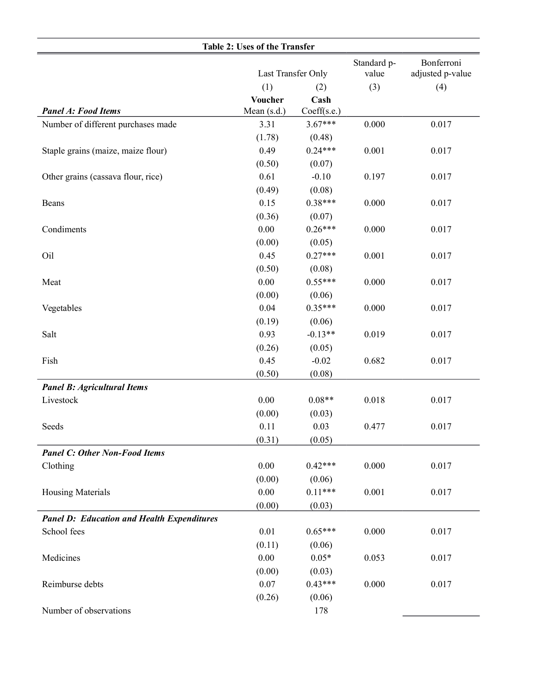|                                                   | Last Transfer Only    |             | Standard p-<br>value | Bonferroni<br>adjusted p-value |
|---------------------------------------------------|-----------------------|-------------|----------------------|--------------------------------|
|                                                   |                       |             |                      |                                |
|                                                   | (1)<br><b>Voucher</b> | (2)<br>Cash | (3)                  | (4)                            |
| <b>Panel A: Food Items</b>                        | Mean (s.d.)           | Coeff(s.e.) |                      |                                |
| Number of different purchases made                | 3.31                  | $3.67***$   | 0.000                | 0.017                          |
|                                                   | (1.78)                | (0.48)      |                      |                                |
| Staple grains (maize, maize flour)                | 0.49                  | $0.24***$   | 0.001                | 0.017                          |
|                                                   | (0.50)                | (0.07)      |                      |                                |
| Other grains (cassava flour, rice)                | 0.61                  | $-0.10$     | 0.197                | 0.017                          |
|                                                   | (0.49)                | (0.08)      |                      |                                |
| Beans                                             | 0.15                  | $0.38***$   | 0.000                | 0.017                          |
|                                                   | (0.36)                | (0.07)      |                      |                                |
| Condiments                                        | 0.00                  | $0.26***$   | 0.000                | 0.017                          |
|                                                   | (0.00)                | (0.05)      |                      |                                |
| Oil                                               | 0.45                  | $0.27***$   | 0.001                | 0.017                          |
|                                                   | (0.50)                | (0.08)      |                      |                                |
| Meat                                              | 0.00                  | $0.55***$   | 0.000                | 0.017                          |
|                                                   | (0.00)                | (0.06)      |                      |                                |
| Vegetables                                        | 0.04                  | $0.35***$   | 0.000                | 0.017                          |
|                                                   | (0.19)                | (0.06)      |                      |                                |
| Salt                                              | 0.93                  | $-0.13**$   | 0.019                | 0.017                          |
|                                                   | (0.26)                | (0.05)      |                      |                                |
| Fish                                              | 0.45                  | $-0.02$     | 0.682                | 0.017                          |
|                                                   | (0.50)                | (0.08)      |                      |                                |
| <b>Panel B: Agricultural Items</b>                |                       |             |                      |                                |
| Livestock                                         | 0.00                  | $0.08**$    | 0.018                | 0.017                          |
|                                                   | (0.00)                | (0.03)      |                      |                                |
| Seeds                                             | 0.11                  | 0.03        | 0.477                | 0.017                          |
|                                                   | (0.31)                | (0.05)      |                      |                                |
| <b>Panel C: Other Non-Food Items</b>              |                       |             |                      |                                |
| Clothing                                          | 0.00                  | $0.42***$   | 0.000                | 0.017                          |
|                                                   | (0.00)                | (0.06)      |                      |                                |
| <b>Housing Materials</b>                          | 0.00                  | $0.11***$   | 0.001                | 0.017                          |
|                                                   | (0.00)                | (0.03)      |                      |                                |
| <b>Panel D: Education and Health Expenditures</b> |                       |             |                      |                                |
| School fees                                       | 0.01                  | $0.65***$   | 0.000                | 0.017                          |
|                                                   | (0.11)                | (0.06)      |                      |                                |
| Medicines                                         | 0.00                  | $0.05*$     | 0.053                | 0.017                          |
|                                                   | (0.00)                | (0.03)      |                      |                                |
| Reimburse debts                                   | 0.07                  | $0.43***$   | 0.000                | 0.017                          |
|                                                   | (0.26)                | (0.06)      |                      |                                |
| Number of observations                            |                       | 178         |                      |                                |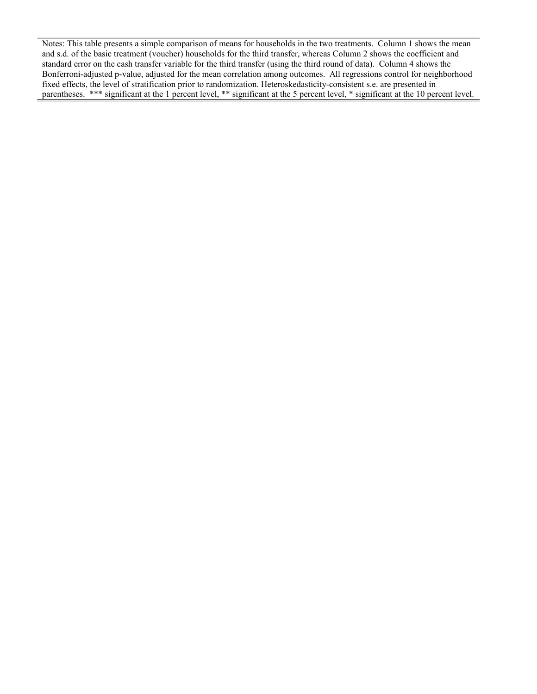Notes: This table presents a simple comparison of means for households in the two treatments. Column 1 shows the mean and s.d. of the basic treatment (voucher) households for the third transfer, whereas Column 2 shows the coefficient and standard error on the cash transfer variable for the third transfer (using the third round of data). Column 4 shows the Bonferroni-adjusted p-value, adjusted for the mean correlation among outcomes. All regressions control for neighborhood fixed effects, the level of stratification prior to randomization. Heteroskedasticity-consistent s.e. are presented in parentheses. \*\*\* significant at the 1 percent level, \*\* significant at the 5 percent level, \* significant at the 10 percent level.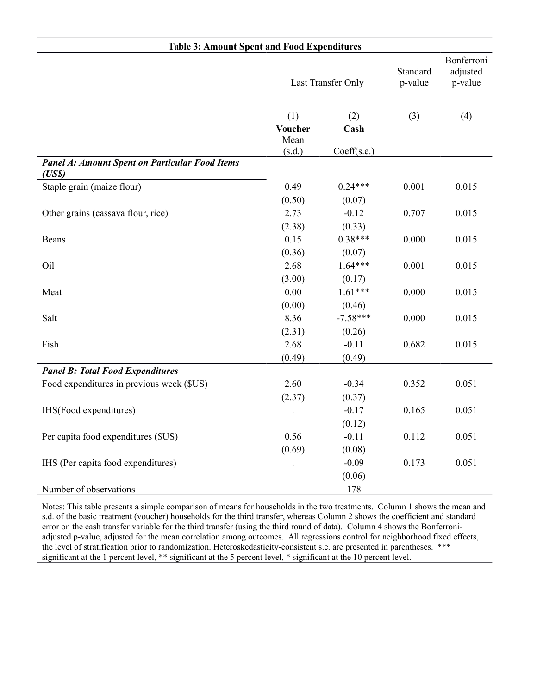| <b>Table 3: Amount Spent and Food Expenditures</b>             |                |                    |       |                                   |  |  |  |
|----------------------------------------------------------------|----------------|--------------------|-------|-----------------------------------|--|--|--|
|                                                                |                | Last Transfer Only |       | Bonferroni<br>adjusted<br>p-value |  |  |  |
|                                                                | (1)            | (2)                | (3)   | (4)                               |  |  |  |
|                                                                | <b>Voucher</b> | Cash               |       |                                   |  |  |  |
|                                                                | Mean<br>(s.d.) | Coeff(s.e.)        |       |                                   |  |  |  |
| <b>Panel A: Amount Spent on Particular Food Items</b><br>(USS) |                |                    |       |                                   |  |  |  |
| Staple grain (maize flour)                                     | 0.49           | $0.24***$          | 0.001 | 0.015                             |  |  |  |
|                                                                | (0.50)         | (0.07)             |       |                                   |  |  |  |
| Other grains (cassava flour, rice)                             | 2.73           | $-0.12$            | 0.707 | 0.015                             |  |  |  |
|                                                                | (2.38)         | (0.33)             |       |                                   |  |  |  |
| Beans                                                          | 0.15           | $0.38***$          | 0.000 | 0.015                             |  |  |  |
|                                                                | (0.36)         | (0.07)             |       |                                   |  |  |  |
| Oil                                                            | 2.68           | $1.64***$          | 0.001 | 0.015                             |  |  |  |
|                                                                | (3.00)         | (0.17)             |       |                                   |  |  |  |
| Meat                                                           | 0.00           | $1.61***$          | 0.000 | 0.015                             |  |  |  |
|                                                                | (0.00)         | (0.46)             |       |                                   |  |  |  |
| Salt                                                           | 8.36           | $-7.58***$         | 0.000 | 0.015                             |  |  |  |
|                                                                | (2.31)         | (0.26)             |       |                                   |  |  |  |
| Fish                                                           | 2.68           | $-0.11$            | 0.682 | 0.015                             |  |  |  |
|                                                                | (0.49)         | (0.49)             |       |                                   |  |  |  |
| <b>Panel B: Total Food Expenditures</b>                        |                |                    |       |                                   |  |  |  |
| Food expenditures in previous week (\$US)                      | 2.60           | $-0.34$            | 0.352 | 0.051                             |  |  |  |
|                                                                | (2.37)         | (0.37)             |       |                                   |  |  |  |
| IHS(Food expenditures)                                         |                | $-0.17$            | 0.165 | 0.051                             |  |  |  |
|                                                                |                | (0.12)             |       |                                   |  |  |  |
| Per capita food expenditures (\$US)                            | 0.56           | $-0.11$            | 0.112 | 0.051                             |  |  |  |
|                                                                | (0.69)         | (0.08)             |       |                                   |  |  |  |
| IHS (Per capita food expenditures)                             |                | $-0.09$            | 0.173 | 0.051                             |  |  |  |
|                                                                |                | (0.06)             |       |                                   |  |  |  |
| Number of observations                                         |                | 178                |       |                                   |  |  |  |

Notes: This table presents a simple comparison of means for households in the two treatments. Column 1 shows the mean and s.d. of the basic treatment (voucher) households for the third transfer, whereas Column 2 shows the coefficient and standard error on the cash transfer variable for the third transfer (using the third round of data). Column 4 shows the Bonferroniadjusted p-value, adjusted for the mean correlation among outcomes. All regressions control for neighborhood fixed effects, the level of stratification prior to randomization. Heteroskedasticity-consistent s.e. are presented in parentheses. \*\*\* significant at the 1 percent level, \*\* significant at the 5 percent level, \* significant at the 10 percent level.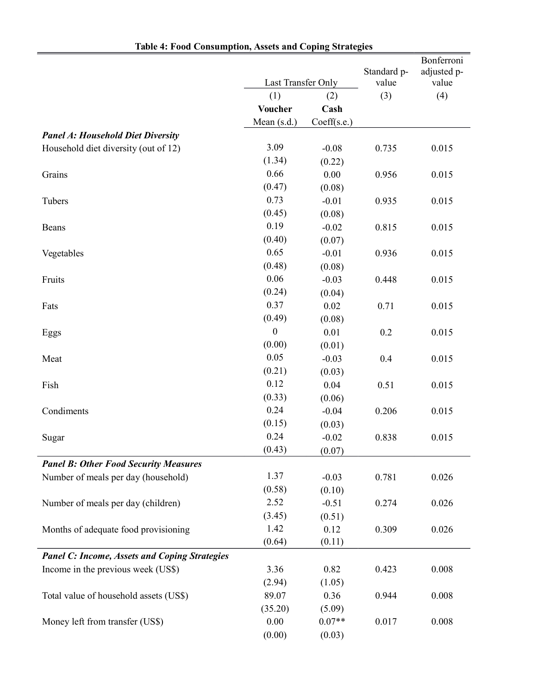| <b>Table 4: Food Consumption, Assets and Coping Strategies</b> |                    |             |             |                           |
|----------------------------------------------------------------|--------------------|-------------|-------------|---------------------------|
|                                                                |                    |             | Standard p- | Bonferroni<br>adjusted p- |
|                                                                | Last Transfer Only |             | value       | value                     |
|                                                                | (1)                | (2)         | (3)         | (4)                       |
|                                                                | Voucher            | Cash        |             |                           |
|                                                                | Mean (s.d.)        | Coeff(s.e.) |             |                           |
| <b>Panel A: Household Diet Diversity</b>                       |                    |             |             |                           |
| Household diet diversity (out of 12)                           | 3.09               | $-0.08$     | 0.735       | 0.015                     |
|                                                                | (1.34)             | (0.22)      |             |                           |
| Grains                                                         | 0.66               | 0.00        | 0.956       | 0.015                     |
|                                                                | (0.47)             | (0.08)      |             |                           |
| Tubers                                                         | 0.73               | $-0.01$     | 0.935       | 0.015                     |
|                                                                | (0.45)             | (0.08)      |             |                           |
| Beans                                                          | 0.19               | $-0.02$     | 0.815       | 0.015                     |
|                                                                | (0.40)             | (0.07)      |             |                           |
| Vegetables                                                     | 0.65               | $-0.01$     | 0.936       | 0.015                     |
|                                                                | (0.48)             | (0.08)      |             |                           |
| Fruits                                                         | 0.06               | $-0.03$     | 0.448       | 0.015                     |
|                                                                | (0.24)             | (0.04)      |             |                           |
| Fats                                                           | 0.37               | 0.02        | 0.71        | 0.015                     |
|                                                                | (0.49)             | (0.08)      |             |                           |
| Eggs                                                           | $\boldsymbol{0}$   | 0.01        | 0.2         | 0.015                     |
|                                                                | (0.00)             | (0.01)      |             |                           |
| Meat                                                           | 0.05               | $-0.03$     | 0.4         | 0.015                     |
|                                                                | (0.21)             | (0.03)      |             |                           |
| Fish                                                           | 0.12               | 0.04        | 0.51        | 0.015                     |
|                                                                | (0.33)             | (0.06)      |             |                           |
| Condiments                                                     | 0.24               | $-0.04$     | 0.206       | 0.015                     |
|                                                                | (0.15)             | (0.03)      |             |                           |
| Sugar                                                          | 0.24               | $-0.02$     | 0.838       | 0.015                     |
|                                                                | (0.43)             | (0.07)      |             |                           |
| <b>Panel B: Other Food Security Measures</b>                   |                    |             |             |                           |
| Number of meals per day (household)                            | 1.37               | $-0.03$     | 0.781       | 0.026                     |
|                                                                | (0.58)             | (0.10)      |             |                           |
| Number of meals per day (children)                             | 2.52               | $-0.51$     | 0.274       | 0.026                     |
|                                                                | (3.45)             | (0.51)      |             |                           |
| Months of adequate food provisioning                           | 1.42               | 0.12        | 0.309       | 0.026                     |
|                                                                | (0.64)             | (0.11)      |             |                           |
| <b>Panel C: Income, Assets and Coping Strategies</b>           |                    |             |             |                           |
| Income in the previous week (US\$)                             | 3.36               | 0.82        | 0.423       | 0.008                     |
|                                                                | (2.94)             | (1.05)      |             |                           |
| Total value of household assets (US\$)                         | 89.07              | 0.36        | 0.944       | 0.008                     |
|                                                                | (35.20)            | (5.09)      |             |                           |
| Money left from transfer (US\$)                                | 0.00               | $0.07**$    | 0.017       | 0.008                     |
|                                                                | (0.00)             | (0.03)      |             |                           |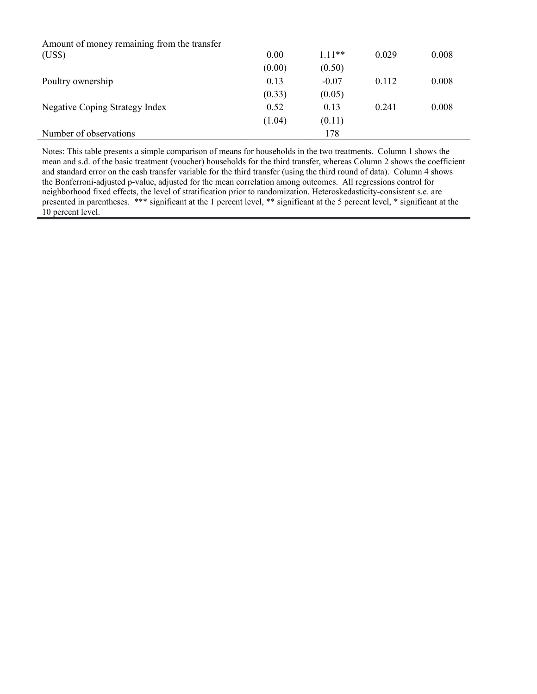| Amount of money remaining from the transfer |        |          |       |       |
|---------------------------------------------|--------|----------|-------|-------|
| (US\$)                                      | 0.00   | $1.11**$ | 0.029 | 0.008 |
|                                             | (0.00) | (0.50)   |       |       |
| Poultry ownership                           | 0.13   | $-0.07$  | 0.112 | 0.008 |
|                                             | (0.33) | (0.05)   |       |       |
| Negative Coping Strategy Index              | 0.52   | 0.13     | 0.241 | 0.008 |
|                                             | (1.04) | (0.11)   |       |       |
| Number of observations                      |        | 178      |       |       |

Notes: This table presents a simple comparison of means for households in the two treatments. Column 1 shows the mean and s.d. of the basic treatment (voucher) households for the third transfer, whereas Column 2 shows the coefficient and standard error on the cash transfer variable for the third transfer (using the third round of data). Column 4 shows the Bonferroni-adjusted p-value, adjusted for the mean correlation among outcomes. All regressions control for neighborhood fixed effects, the level of stratification prior to randomization. Heteroskedasticity-consistent s.e. are presented in parentheses. \*\*\* significant at the 1 percent level, \*\* significant at the 5 percent level, \* significant at the 10 percent level.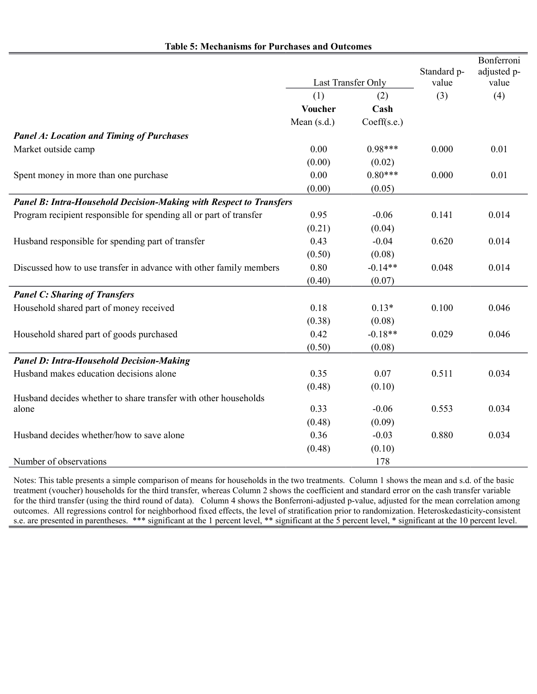|                                                                           |               |                    | Standard p- | Bonferroni<br>adjusted p- |  |
|---------------------------------------------------------------------------|---------------|--------------------|-------------|---------------------------|--|
|                                                                           |               | Last Transfer Only | value       | value                     |  |
|                                                                           | (1)           | (2)                | (3)         | (4)                       |  |
|                                                                           | Voucher       | Cash               |             |                           |  |
|                                                                           | Mean $(s.d.)$ | Coeff(s.e.)        |             |                           |  |
| <b>Panel A: Location and Timing of Purchases</b>                          |               |                    |             |                           |  |
| Market outside camp                                                       | 0.00          | $0.98***$          | 0.000       | 0.01                      |  |
|                                                                           | (0.00)        | (0.02)             |             |                           |  |
| Spent money in more than one purchase                                     | 0.00          | $0.80***$          | 0.000       | 0.01                      |  |
|                                                                           | (0.00)        | (0.05)             |             |                           |  |
| <b>Panel B: Intra-Household Decision-Making with Respect to Transfers</b> |               |                    |             |                           |  |
| Program recipient responsible for spending all or part of transfer        | 0.95          | $-0.06$            | 0.141       | 0.014                     |  |
|                                                                           | (0.21)        | (0.04)             |             |                           |  |
| Husband responsible for spending part of transfer                         | 0.43          | $-0.04$            | 0.620       | 0.014                     |  |
|                                                                           | (0.50)        | (0.08)             |             |                           |  |
| Discussed how to use transfer in advance with other family members        | 0.80          | $-0.14**$          | 0.048       | 0.014                     |  |
|                                                                           | (0.40)        | (0.07)             |             |                           |  |
| <b>Panel C: Sharing of Transfers</b>                                      |               |                    |             |                           |  |
| Household shared part of money received                                   | 0.18          | $0.13*$            | 0.100       | 0.046                     |  |
|                                                                           | (0.38)        | (0.08)             |             |                           |  |
| Household shared part of goods purchased                                  | 0.42          | $-0.18**$          | 0.029       | 0.046                     |  |
|                                                                           | (0.50)        | (0.08)             |             |                           |  |
| <b>Panel D: Intra-Household Decision-Making</b>                           |               |                    |             |                           |  |
| Husband makes education decisions alone                                   | 0.35          | 0.07               | 0.511       | 0.034                     |  |
|                                                                           | (0.48)        | (0.10)             |             |                           |  |
| Husband decides whether to share transfer with other households           |               |                    |             |                           |  |
| alone                                                                     | 0.33          | $-0.06$            | 0.553       | 0.034                     |  |
|                                                                           | (0.48)        | (0.09)             |             |                           |  |
| Husband decides whether/how to save alone                                 | 0.36          | $-0.03$            | 0.880       | 0.034                     |  |
|                                                                           | (0.48)        | (0.10)             |             |                           |  |
| Number of observations                                                    |               | 178                |             |                           |  |

**Table 5: Mechanisms for Purchases and Outcomes**

Notes: This table presents a simple comparison of means for households in the two treatments. Column 1 shows the mean and s.d. of the basic treatment (voucher) households for the third transfer, whereas Column 2 shows the coefficient and standard error on the cash transfer variable for the third transfer (using the third round of data). Column 4 shows the Bonferroni-adjusted p-value, adjusted for the mean correlation among outcomes. All regressions control for neighborhood fixed effects, the level of stratification prior to randomization. Heteroskedasticity-consistent s.e. are presented in parentheses. \*\*\* significant at the 1 percent level, \*\* significant at the 5 percent level, \* significant at the 10 percent level.